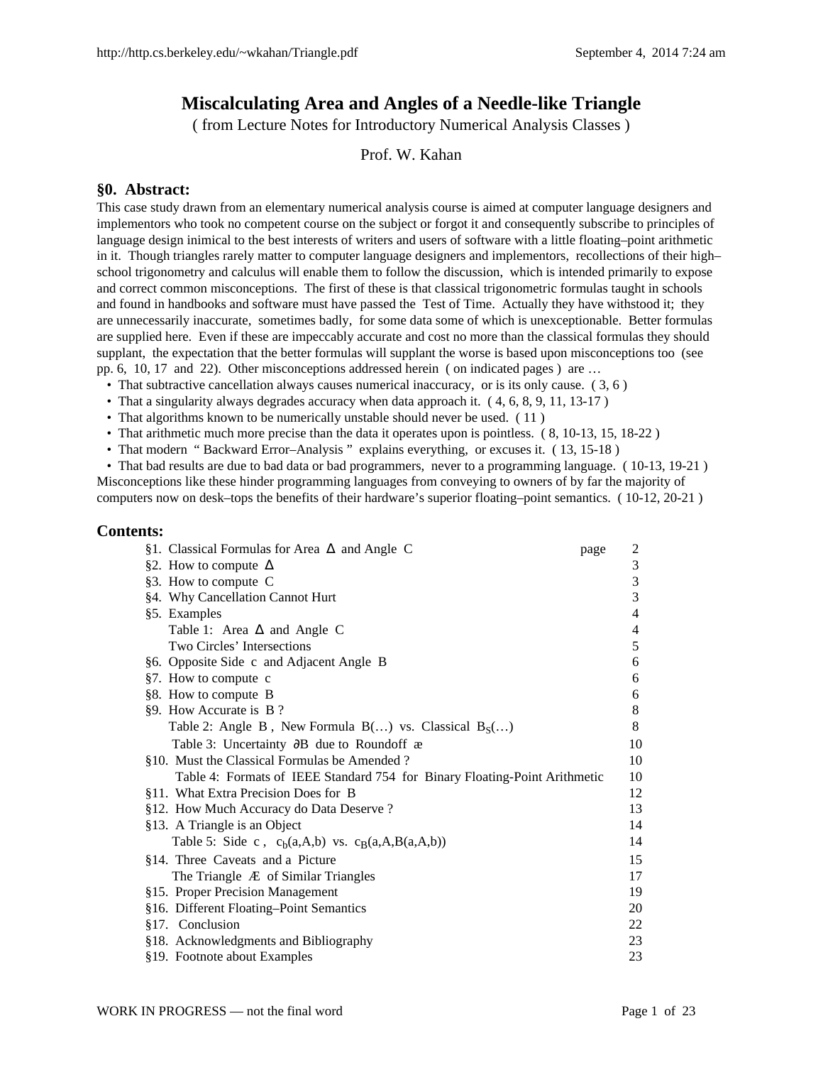# **Miscalculating Area and Angles of a Needle-like Triangle**

( from Lecture Notes for Introductory Numerical Analysis Classes )

## Prof. W. Kahan

#### **§0. Abstract:**

This case study drawn from an elementary numerical analysis course is aimed at computer language designers and implementors who took no competent course on the subject or forgot it and consequently subscribe to principles of language design inimical to the best interests of writers and users of software with a little floating–point arithmetic in it. Though triangles rarely matter to computer language designers and implementors, recollections of their high– school trigonometry and calculus will enable them to follow the discussion, which is intended primarily to expose and correct common misconceptions. The first of these is that classical trigonometric formulas taught in schools and found in handbooks and software must have passed the Test of Time. Actually they have withstood it; they are unnecessarily inaccurate, sometimes badly, for some data some of which is unexceptionable. Better formulas are supplied here. Even if these are impeccably accurate and cost no more than the classical formulas they should supplant, the expectation that the better formulas will supplant the worse is based upon misconceptions too (see pp. 6, 10, 17 and 22). Other misconceptions addressed herein ( on indicated pages ) are …

- That subtractive cancellation always causes numerical inaccuracy, or is its only cause. ( 3, 6 )
- That a singularity always degrades accuracy when data approach it.  $(4, 6, 8, 9, 11, 13-17)$
- That algorithms known to be numerically unstable should never be used. (11)
- That arithmetic much more precise than the data it operates upon is pointless. (8, 10-13, 15, 18-22)
- That modern "Backward Error-Analysis" explains everything, or excuses it.  $(13, 15-18)$

 • That bad results are due to bad data or bad programmers, never to a programming language. ( 10-13, 19-21 ) Misconceptions like these hinder programming languages from conveying to owners of by far the majority of computers now on desk–tops the benefits of their hardware's superior floating–point semantics. ( 10-12, 20-21 )

#### **Contents:**

| §1. Classical Formulas for Area $\Delta$ and Angle C                       | page | 2              |
|----------------------------------------------------------------------------|------|----------------|
| §2. How to compute $\Delta$                                                |      | 3              |
| §3. How to compute C                                                       |      | 3              |
| §4. Why Cancellation Cannot Hurt                                           |      | 3              |
| §5. Examples                                                               |      | $\overline{4}$ |
| Table 1: Area $\Delta$ and Angle C                                         |      | 4              |
| Two Circles' Intersections                                                 |      | 5              |
| §6. Opposite Side c and Adjacent Angle B                                   |      | 6              |
| §7. How to compute c                                                       |      | 6              |
| §8. How to compute B                                                       |      | 6              |
| §9. How Accurate is B?                                                     |      | 8              |
| Table 2: Angle B, New Formula B() vs. Classical $B_S$ ()                   |      | 8              |
| Table 3: Uncertainty ∂B due to Roundoff æ                                  |      | 10             |
| §10. Must the Classical Formulas be Amended?                               |      | 10             |
| Table 4: Formats of IEEE Standard 754 for Binary Floating-Point Arithmetic |      | 10             |
| §11. What Extra Precision Does for B                                       |      | 12             |
| §12. How Much Accuracy do Data Deserve?                                    |      | 13             |
| §13. A Triangle is an Object                                               |      | 14             |
| Table 5: Side c, $c_b(a,A,b)$ vs. $c_B(a,A,B(a,A,b))$                      |      | 14             |
| §14. Three Caveats and a Picture                                           |      | 15             |
| The Triangle $AE$ of Similar Triangles                                     |      | 17             |
| §15. Proper Precision Management                                           |      | 19             |
| §16. Different Floating-Point Semantics                                    |      | 20             |
| §17. Conclusion                                                            |      | 22             |
| §18. Acknowledgments and Bibliography                                      |      | 23             |
| §19. Footnote about Examples                                               |      | 23             |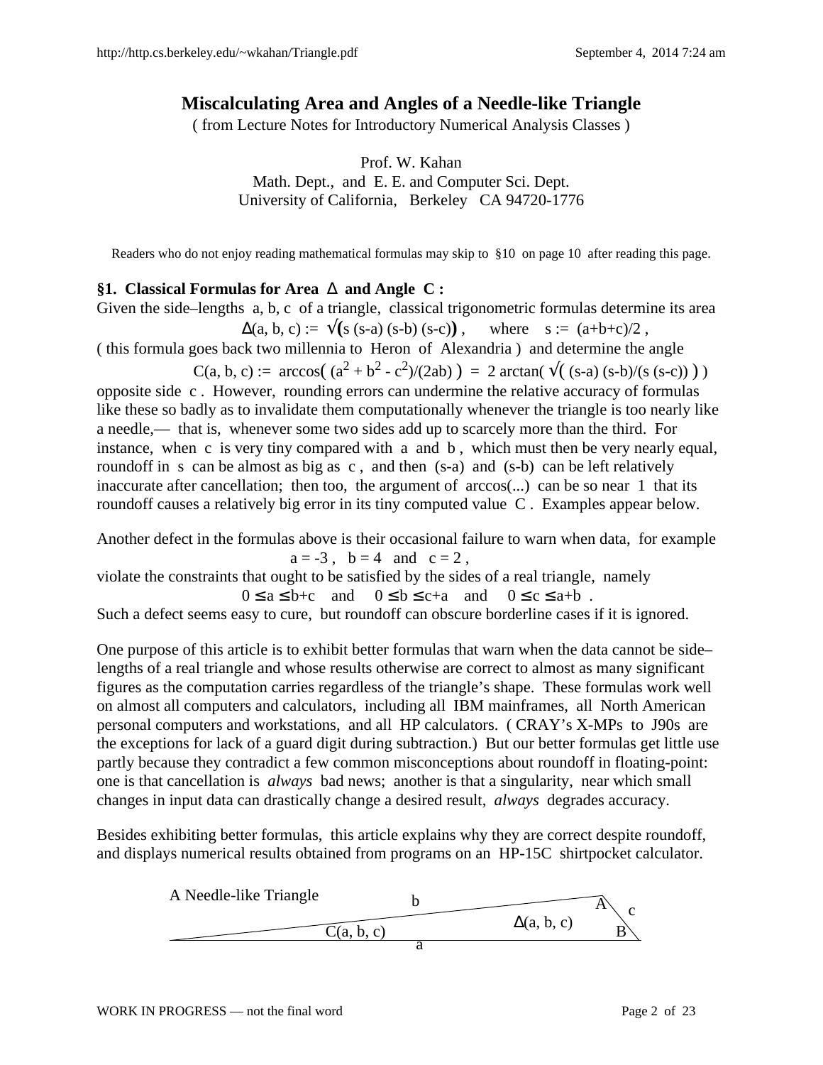# **Miscalculating Area and Angles of a Needle-like Triangle**

( from Lecture Notes for Introductory Numerical Analysis Classes )

Prof. W. Kahan Math. Dept., and E. E. and Computer Sci. Dept. University of California, Berkeley CA 94720-1776

Readers who do not enjoy reading mathematical formulas may skip to §10 on page 10 after reading this page.

## **§1. Classical Formulas for Area** ∆ **and Angle C :**

Given the side–lengths a, b, c of a triangle, classical trigonometric formulas determine its area  $\Delta(a, b, c) := \sqrt{(s (s-a) (s-b) (s-c))}$ , where  $s := (a+b+c)/2$ ,

( this formula goes back two millennia to Heron of Alexandria ) and determine the angle

C(a, b, c) :=  $\arccos((a^2 + b^2 - c^2)/(2ab)) = 2 \arctan(\sqrt{((s-a)(s-b)/(s(s-c))})$ 

opposite side c . However, rounding errors can undermine the relative accuracy of formulas like these so badly as to invalidate them computationally whenever the triangle is too nearly like a needle,— that is, whenever some two sides add up to scarcely more than the third. For instance, when c is very tiny compared with a and b , which must then be very nearly equal, roundoff in s can be almost as big as c , and then (s-a) and (s-b) can be left relatively inaccurate after cancellation; then too, the argument of arccos(...) can be so near 1 that its roundoff causes a relatively big error in its tiny computed value C . Examples appear below.

Another defect in the formulas above is their occasional failure to warn when data, for example  $a = -3$ ,  $b = 4$  and  $c = 2$ ,

violate the constraints that ought to be satisfied by the sides of a real triangle, namely  $0 \le a \le b+c$  and  $0 \le b \le c+a$  and  $0 \le c \le a+b$ .

Such a defect seems easy to cure, but roundoff can obscure borderline cases if it is ignored.

One purpose of this article is to exhibit better formulas that warn when the data cannot be side– lengths of a real triangle and whose results otherwise are correct to almost as many significant figures as the computation carries regardless of the triangle's shape. These formulas work well on almost all computers and calculators, including all IBM mainframes, all North American personal computers and workstations, and all HP calculators. ( CRAY's X-MPs to J90s are the exceptions for lack of a guard digit during subtraction.) But our better formulas get little use partly because they contradict a few common misconceptions about roundoff in floating-point: one is that cancellation is *always* bad news; another is that a singularity, near which small changes in input data can drastically change a desired result, *always* degrades accuracy.

Besides exhibiting better formulas, this article explains why they are correct despite roundoff, and displays numerical results obtained from programs on an HP-15C shirtpocket calculator.

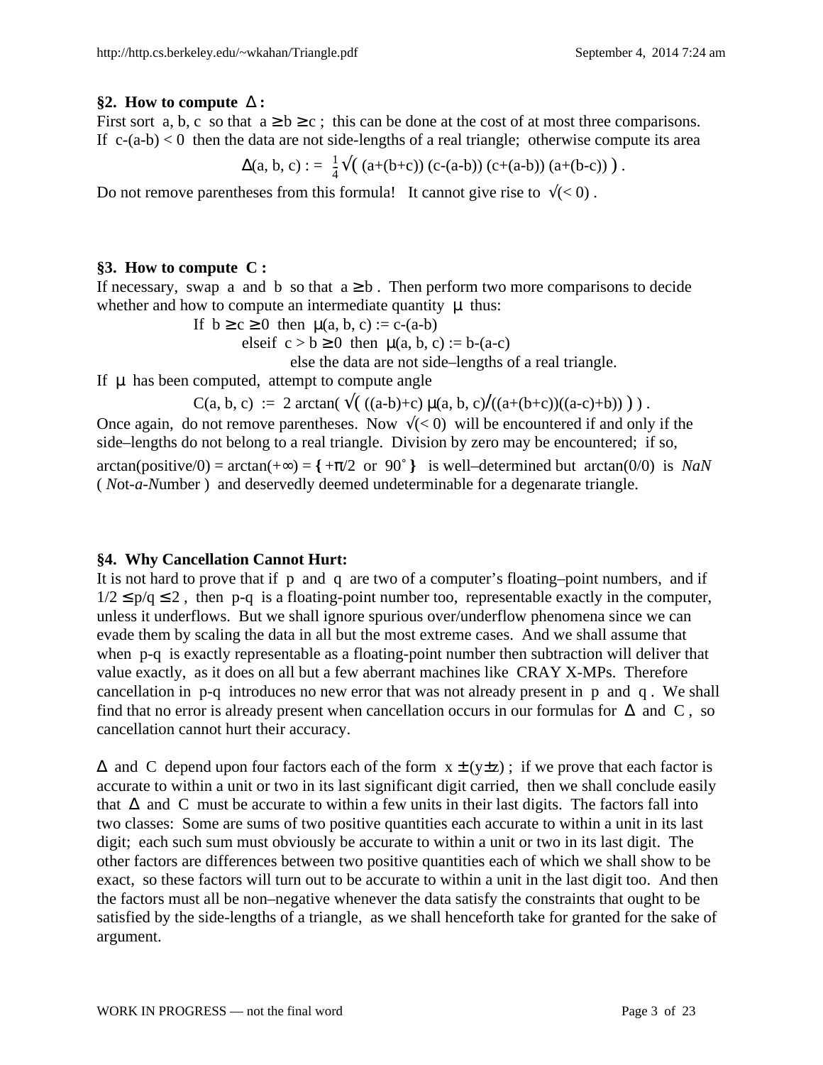## **§2. How to compute** ∆ **:**

First sort a, b, c so that  $a \ge b \ge c$ ; this can be done at the cost of at most three comparisons. If  $c-(a-b) < 0$  then the data are not side-lengths of a real triangle; otherwise compute its area

$$
\Delta(a, b, c) := \frac{1}{4} \sqrt{(a + (b + c)) (c - (a - b)) (c + (a - b)) (a + (b - c)))}.
$$

Do not remove parentheses from this formula! It cannot give rise to  $\sqrt{(}0)$ .

# **§3. How to compute C :**

If necessary, swap a and b so that  $a \ge b$ . Then perform two more comparisons to decide whether and how to compute an intermediate quantity  $\mu$  thus:

If  $b \ge c \ge 0$  then  $\mu(a, b, c) := c$ -(a-b)

elseif  $c > b \ge 0$  then  $\mu(a, b, c) := b-(a-c)$ 

else the data are not side–lengths of a real triangle.

If  $\mu$  has been computed, attempt to compute angle

C(a, b, c) := 2 arctan( $\sqrt{(a-b)+c} \mu(a, b, c)/(a+(b+c))((a-c)+b)$ )).

Once again, do not remove parentheses. Now  $\sqrt{(}0)$  will be encountered if and only if the side–lengths do not belong to a real triangle. Division by zero may be encountered; if so, arctan(positive/0) = arctan(+ $\infty$ ) = { + $\pi$ /2 or 90° } is well–determined but arctan(0/0) is *NaN* ( *N*ot-*a*-*N*umber ) and deservedly deemed undeterminable for a degenarate triangle.

# **§4. Why Cancellation Cannot Hurt:**

It is not hard to prove that if p and q are two of a computer's floating–point numbers, and if  $1/2 \le p/q \le 2$ , then p-q is a floating-point number too, representable exactly in the computer, unless it underflows. But we shall ignore spurious over/underflow phenomena since we can evade them by scaling the data in all but the most extreme cases. And we shall assume that when p-q is exactly representable as a floating-point number then subtraction will deliver that value exactly, as it does on all but a few aberrant machines like CRAY X-MPs. Therefore cancellation in p-q introduces no new error that was not already present in p and q . We shall find that no error is already present when cancellation occurs in our formulas for  $\Delta$  and C, so cancellation cannot hurt their accuracy.

 $\Delta$  and C depend upon four factors each of the form  $x \pm (y \pm z)$ ; if we prove that each factor is accurate to within a unit or two in its last significant digit carried, then we shall conclude easily that  $\Delta$  and C must be accurate to within a few units in their last digits. The factors fall into two classes: Some are sums of two positive quantities each accurate to within a unit in its last digit; each such sum must obviously be accurate to within a unit or two in its last digit. The other factors are differences between two positive quantities each of which we shall show to be exact, so these factors will turn out to be accurate to within a unit in the last digit too. And then the factors must all be non–negative whenever the data satisfy the constraints that ought to be satisfied by the side-lengths of a triangle, as we shall henceforth take for granted for the sake of argument.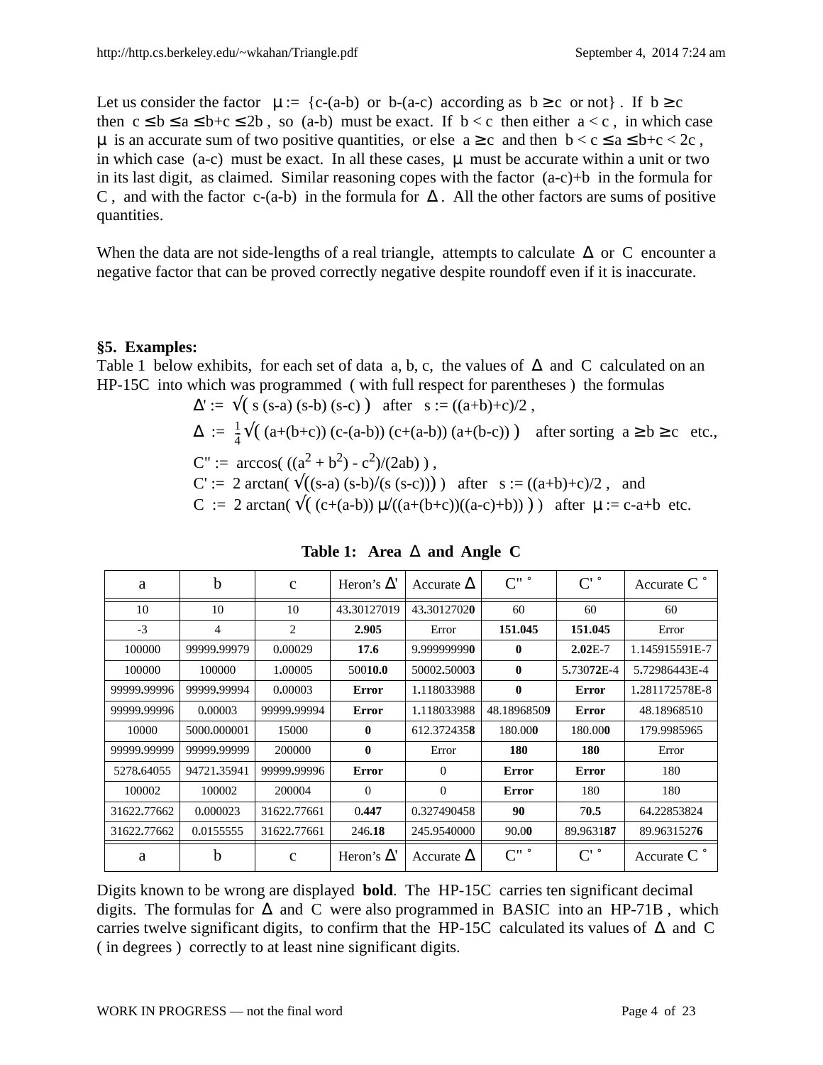Let us consider the factor  $\mu := \{c-(a-b) \text{ or } b-(a-c) \text{ according as } b \ge c \text{ or not}\}\.$  If  $b \ge c$ then  $c \le b \le a \le b+c \le 2b$ , so (a-b) must be exact. If  $b < c$  then either  $a < c$ , in which case  $\mu$  is an accurate sum of two positive quantities, or else  $a \ge c$  and then  $b < c \le a \le b+c < 2c$ , in which case  $(a-c)$  must be exact. In all these cases,  $\mu$  must be accurate within a unit or two in its last digit, as claimed. Similar reasoning copes with the factor  $(a-c)+b$  in the formula for C, and with the factor c-(a-b) in the formula for  $\Delta$ . All the other factors are sums of positive quantities.

When the data are not side-lengths of a real triangle, attempts to calculate  $\Delta$  or C encounter a negative factor that can be proved correctly negative despite roundoff even if it is inaccurate.

#### **§5. Examples:**

Table 1 below exhibits, for each set of data a, b, c, the values of  $\Delta$  and C calculated on an HP-15C into which was programmed ( with full respect for parentheses ) the formulas

$$
\Delta' := \sqrt{(s (s-a) (s-b) (s-c))} \text{ after } s := ((a+b)+c)/2,
$$
  
\n
$$
\Delta := \frac{1}{4} \sqrt{(a+(b+c)) (c-(a-b)) (c+(a-b)) (a+(b-c))} \text{ after sorting } a \ge b \ge c \text{ etc.},
$$
  
\n
$$
C' := \arccos(((a^2 + b^2) - c^2)/(2ab)),
$$
  
\n
$$
C' := 2 \arctan(\sqrt{((s-a) (s-b)/(s (s-c))})} \text{ after } s := ((a+b)+c)/2, \text{ and}
$$
  
\n
$$
C := 2 \arctan(\sqrt{((c+(a-b)) \mu/((a+(b+c))((a-c)+b))}))} \text{ after } \mu := c-a+b \text{ etc.}
$$

| a           | b           | $\mathbf{C}$ | Heron's $\Delta'$ | Accurate $\Delta$ | $C^{\prime\prime}$ $^{\circ}$ | $C'$ $\degree$       | Accurate $C^{\circ}$ |
|-------------|-------------|--------------|-------------------|-------------------|-------------------------------|----------------------|----------------------|
| 10          | 10          | 10           | 43,30127019       | 43.30127020       | 60                            | 60                   | 60                   |
| $-3$        | 4           | 2            | 2.905             | Error             | 151.045                       | 151.045              | Error                |
| 100000      | 99999.99979 | 0.00029      | 17.6              | 9,999999990       | $\mathbf{0}$                  | $2.02E-7$            | 1.145915591E-7       |
| 100000      | 100000      | 1,00005      | 50010.0           | 50002.50003       | $\mathbf{0}$                  | 5.73072E-4           | 5.72986443E-4        |
| 99999.99996 | 99999.99994 | 0.00003      | Error             | 1.118033988       | $\bf{0}$                      | <b>Error</b>         | 1.281172578E-8       |
| 99999.99996 | 0.00003     | 99999.99994  | <b>Error</b>      | 1.118033988       | 48.18968509                   | Error                | 48.18968510          |
| 10000       | 5000.000001 | 15000        | $\mathbf{0}$      | 612.3724358       | 180.000                       | 180.000              | 179.9985965          |
| 99999.99999 | 99999.99999 | 200000       | $\mathbf{0}$      | Error             | 180                           | 180                  | Error                |
| 5278.64055  | 94721.35941 | 99999.99996  | Error             | $\theta$          | <b>Error</b>                  | <b>Error</b>         | 180                  |
| 100002      | 100002      | 200004       | $\Omega$          | $\Omega$          | Error                         | 180                  | 180                  |
| 31622.77662 | 0.000023    | 31622.77661  | 0.447             | 0.327490458       | 90                            | 70.5                 | 64.22853824          |
| 31622,77662 | 0.0155555   | 31622.77661  | 246.18            | 245,9540000       | 90.00                         | 89,963187            | 89.96315276          |
| a           | b           | $\mathbf{C}$ | Heron's $\Delta'$ | Accurate $\Delta$ | $C^{\prime\prime}$ $^{\circ}$ | $C^{\prime}$ $\circ$ | Accurate $C^{\circ}$ |

**Table 1: Area** ∆ **and Angle C**

Digits known to be wrong are displayed **bold**. The HP-15C carries ten significant decimal digits. The formulas for  $\Delta$  and C were also programmed in BASIC into an HP-71B, which carries twelve significant digits, to confirm that the HP-15C calculated its values of ∆ and C ( in degrees ) correctly to at least nine significant digits.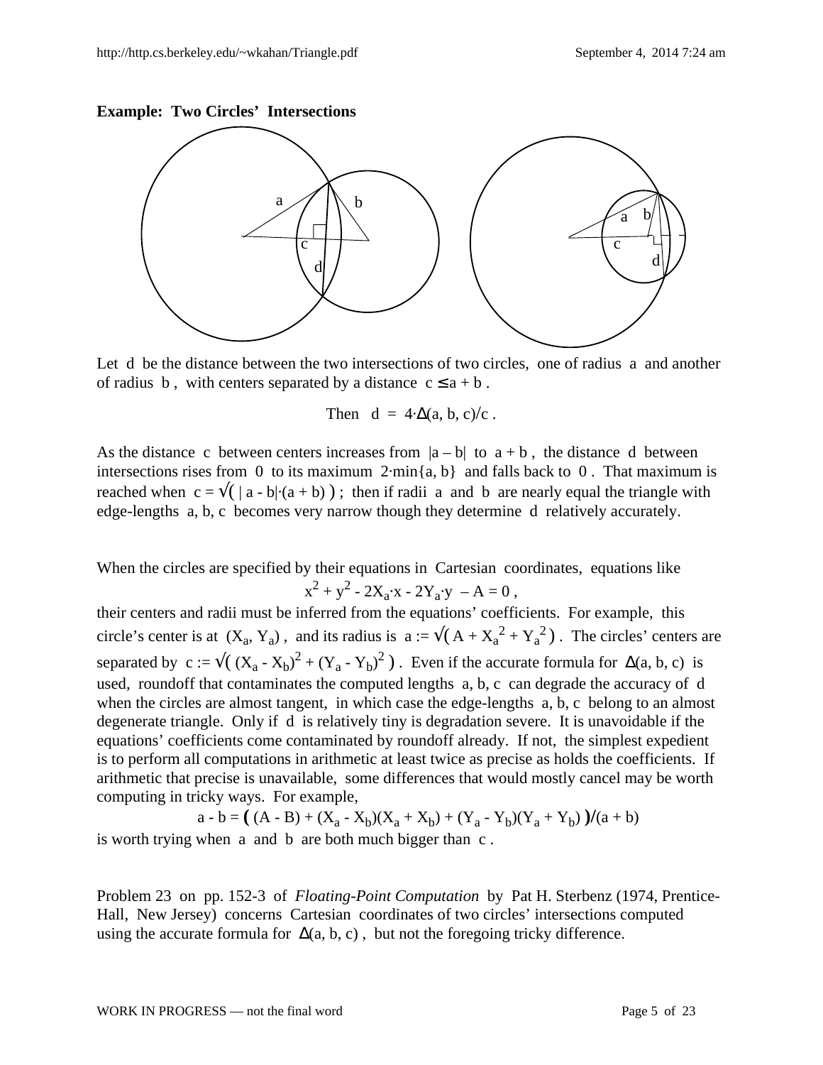#### **Example: Two Circles' Intersections**



Let d be the distance between the two intersections of two circles, one of radius a and another of radius b, with centers separated by a distance  $c \le a + b$ .

Then 
$$
d = 4 \cdot \Delta(a, b, c)/c
$$
.

As the distance c between centers increases from  $|a - b|$  to  $a + b$ , the distance d between intersections rises from 0 to its maximum  $2\cdot min\{a, b\}$  and falls back to 0. That maximum is reached when  $c = \sqrt{(a + b)}$ ; then if radii a and b are nearly equal the triangle with edge-lengths a, b, c becomes very narrow though they determine d relatively accurately.

When the circles are specified by their equations in Cartesian coordinates, equations like

$$
x^2 + y^2 - 2X_a \cdot x - 2Y_a \cdot y - A = 0,
$$

their centers and radii must be inferred from the equations' coefficients. For example, this circle's center is at  $(X_a, Y_a)$ , and its radius is  $a := \sqrt{(A + X_a^2 + Y_a^2)}$ . The circles' centers are separated by c :=  $\sqrt{(X_a - X_b)^2 + (Y_a - Y_b)^2}$ . Even if the accurate formula for  $\Delta(a, b, c)$  is used, roundoff that contaminates the computed lengths a, b, c can degrade the accuracy of d when the circles are almost tangent, in which case the edge-lengths a, b, c belong to an almost degenerate triangle. Only if d is relatively tiny is degradation severe. It is unavoidable if the equations' coefficients come contaminated by roundoff already. If not, the simplest expedient is to perform all computations in arithmetic at least twice as precise as holds the coefficients. If arithmetic that precise is unavailable, some differences that would mostly cancel may be worth computing in tricky ways. For example,

a - b =  $((A - B) + (X_a - X_b)(X_a + X_b) + (Y_a - Y_b)(Y_a + Y_b))/(a + b)$ is worth trying when a and b are both much bigger than c .

Problem 23 on pp. 152-3 of *Floating-Point Computation* by Pat H. Sterbenz (1974, Prentice-Hall, New Jersey) concerns Cartesian coordinates of two circles' intersections computed using the accurate formula for  $\Delta(a, b, c)$ , but not the foregoing tricky difference.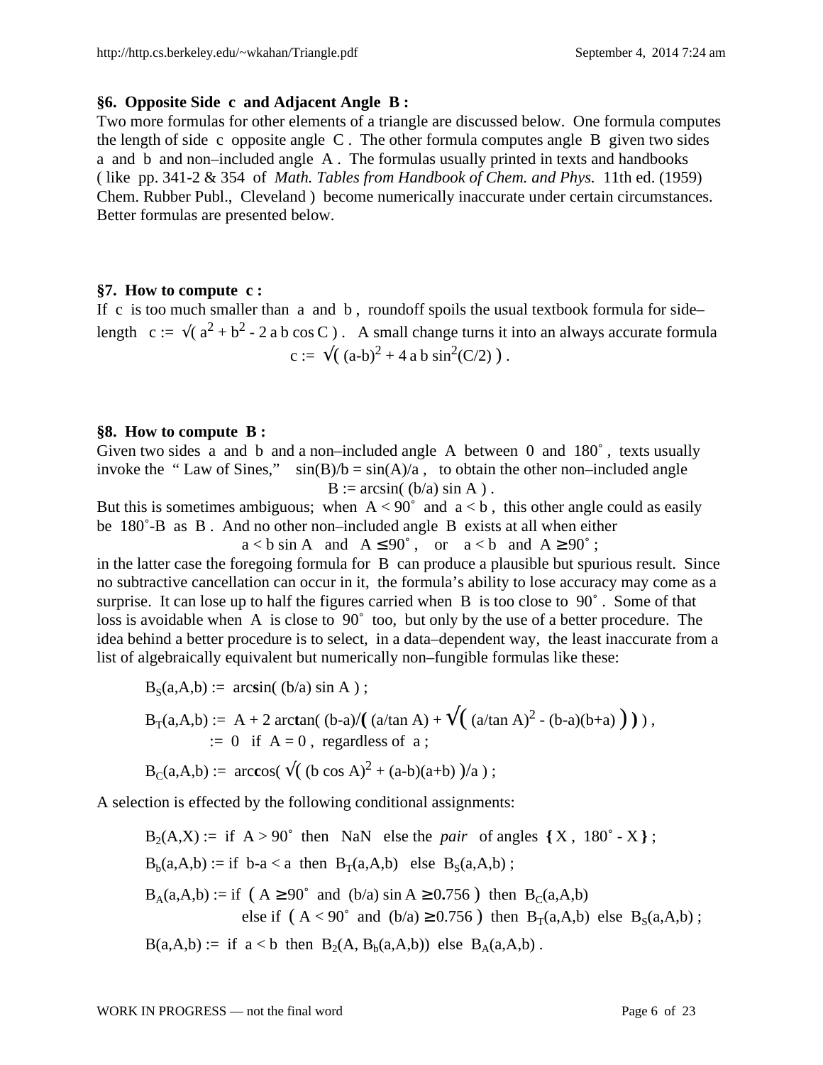#### **§6. Opposite Side c and Adjacent Angle B :**

Two more formulas for other elements of a triangle are discussed below. One formula computes the length of side c opposite angle C . The other formula computes angle B given two sides a and b and non–included angle A . The formulas usually printed in texts and handbooks ( like pp. 341-2 & 354 of *Math. Tables from Handbook of Chem. and Phys.* 11th ed. (1959) Chem. Rubber Publ., Cleveland ) become numerically inaccurate under certain circumstances. Better formulas are presented below.

### **§7. How to compute c :**

If c is too much smaller than a and b, roundoff spoils the usual textbook formula for side– length c :=  $\sqrt{(a^2 + b^2 - 2 a b \cos C)}$ . A small change turns it into an always accurate formula c :=  $\sqrt{(a-b)^2 + 4ab \sin^2(C/2)}$ .

#### **§8. How to compute B :**

Given two sides a and b and a non–included angle A between 0 and 180˚ , texts usually invoke the "Law of Sines,"  $sin(B)/b = sin(A)/a$ , to obtain the other non–included angle  $B := \arcsin((b/a) \sin A)$ .

But this is sometimes ambiguous; when  $A < 90^\circ$  and  $a < b$ , this other angle could as easily be 180˚-B as B . And no other non–included angle B exists at all when either

 $a < b \sin A$  and  $A \le 90^\circ$ , or  $a < b$  and  $A \ge 90^\circ$ ; in the latter case the foregoing formula for B can produce a plausible but spurious result. Since no subtractive cancellation can occur in it, the formula's ability to lose accuracy may come as a surprise. It can lose up to half the figures carried when B is too close to 90°. Some of that loss is avoidable when A is close to 90˚ too, but only by the use of a better procedure. The idea behind a better procedure is to select, in a data–dependent way, the least inaccurate from a list of algebraically equivalent but numerically non–fungible formulas like these:

$$
B_S(a, A, b) := \arcsin((b/a) \sin A);
$$
  
\n
$$
B_T(a, A, b) := A + 2 \arctan((b-a)/((a/\tan A) + \sqrt{((a/\tan A)^2 - (b-a)(b+a)})),
$$
  
\n
$$
:= 0 \text{ if } A = 0, \text{ regardless of a};
$$

$$
B_C(a,A,b) := \arccos(\sqrt{(b \cos A)^2 + (a-b)(a+b)})/a);
$$

A selection is effected by the following conditional assignments:

 $B_2(A,X) :=$  if  $A > 90^\circ$  then NaN else the *pair* of angles  $\{ X, 180^\circ - X \}$ ;  $B_b(a,A,b) := if \ b-a < a \ then \ B_T(a,A,b) \ else \ B_S(a,A,b) ;$  $B_A(a,A,b) := if (A \ge 90^\circ \text{ and } (b/a) \sin A \ge 0.756) then B_C(a,A,b)$ else if  $(A < 90^\circ$  and  $(b/a) \ge 0.756$ ) then  $B_T(a,A,b)$  else  $B_S(a,A,b)$ ;  $B(a, A, b) :=$  if  $a < b$  then  $B_2(A, B_b(a, A, b))$  else  $B_A(a, A, b)$ .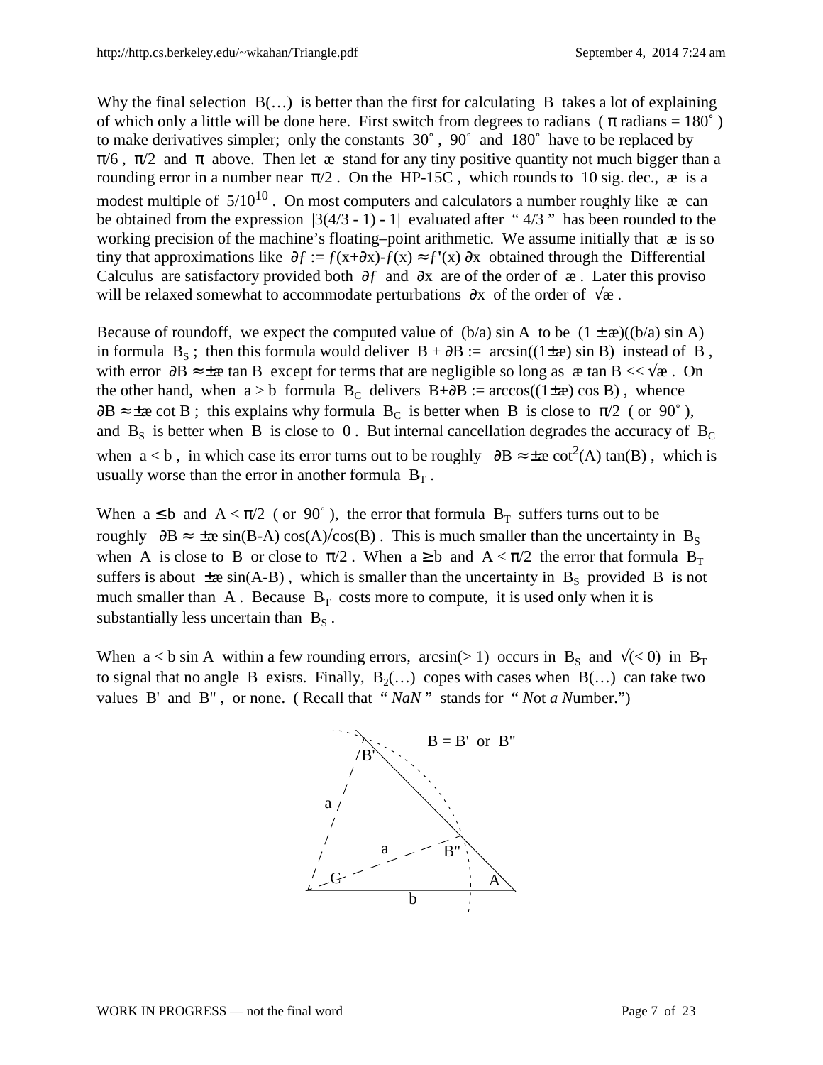Why the final selection  $B(\ldots)$  is better than the first for calculating B takes a lot of explaining of which only a little will be done here. First switch from degrees to radians ( $\pi$  radians = 180°) to make derivatives simpler; only the constants 30˚ , 90˚ and 180˚ have to be replaced by  $\pi/6$ ,  $\pi/2$  and  $\pi$  above. Then let æ stand for any tiny positive quantity not much bigger than a rounding error in a number near  $\pi/2$ . On the HP-15C, which rounds to 10 sig. dec.,  $\alpha$  is a modest multiple of  $5/10^{10}$ . On most computers and calculators a number roughly like  $\infty$  can be obtained from the expression  $|3(4/3 - 1) - 1|$  evaluated after "4/3" has been rounded to the working precision of the machine's floating–point arithmetic. We assume initially that  $\infty$  is so tiny that approximations like ∂ƒ := ƒ(x+∂x)-ƒ(x) ≈ ƒ**'**(x) ∂x obtained through the Differential Calculus are satisfactory provided both ∂ƒ and ∂x are of the order of æ . Later this proviso will be relaxed somewhat to accommodate perturbations ∂x of the order of √æ .

Because of roundoff, we expect the computed value of  $(b/a)$  sin A to be  $(1 \pm \alpha)((b/a) \sin A)$ in formula B<sub>S</sub>; then this formula would deliver B +  $\partial B$  := arcsin((1±æ) sin B) instead of B, with error  $\partial B \approx \pm \infty$  tan B except for terms that are negligible so long as  $\infty$  tan  $B \ll \sqrt{\infty}$ . On the other hand, when a > b formula B<sub>C</sub> delivers B+∂B := arccos((1±æ) cos B), whence  $\partial B \approx \pm \infty$  cot B; this explains why formula B<sub>C</sub> is better when B is close to  $\pi/2$  (or 90°), and  $B_s$  is better when B is close to 0. But internal cancellation degrades the accuracy of  $B_c$ when  $a < b$ , in which case its error turns out to be roughly  $\partial B \approx \pm \infty$  cot<sup>2</sup>(A) tan(B), which is usually worse than the error in another formula  $B_T$ .

When  $a \leq b$  and  $A < \pi/2$  (or 90°), the error that formula  $B_T$  suffers turns out to be roughly  $\partial B \approx \pm \infty \sin(B-A) \cos(A)/\cos(B)$ . This is much smaller than the uncertainty in B<sub>S</sub> when A is close to B or close to  $\pi/2$ . When  $a \ge b$  and  $A < \pi/2$  the error that formula  $B_T$ suffers is about  $\pm \alpha \sin(A-B)$ , which is smaller than the uncertainty in  $B_s$  provided B is not much smaller than A. Because  $B_T$  costs more to compute, it is used only when it is substantially less uncertain than  $B_S$ .

When  $a < b$  sin A within a few rounding errors, arcsin(> 1) occurs in B<sub>S</sub> and  $\sqrt{(} < 0)$  in B<sub>T</sub> to signal that no angle B exists. Finally,  $B_2(\ldots)$  copes with cases when  $B(\ldots)$  can take two values B' and B" , or none. ( Recall that " *NaN* " stands for " *N*ot *a N*umber.")

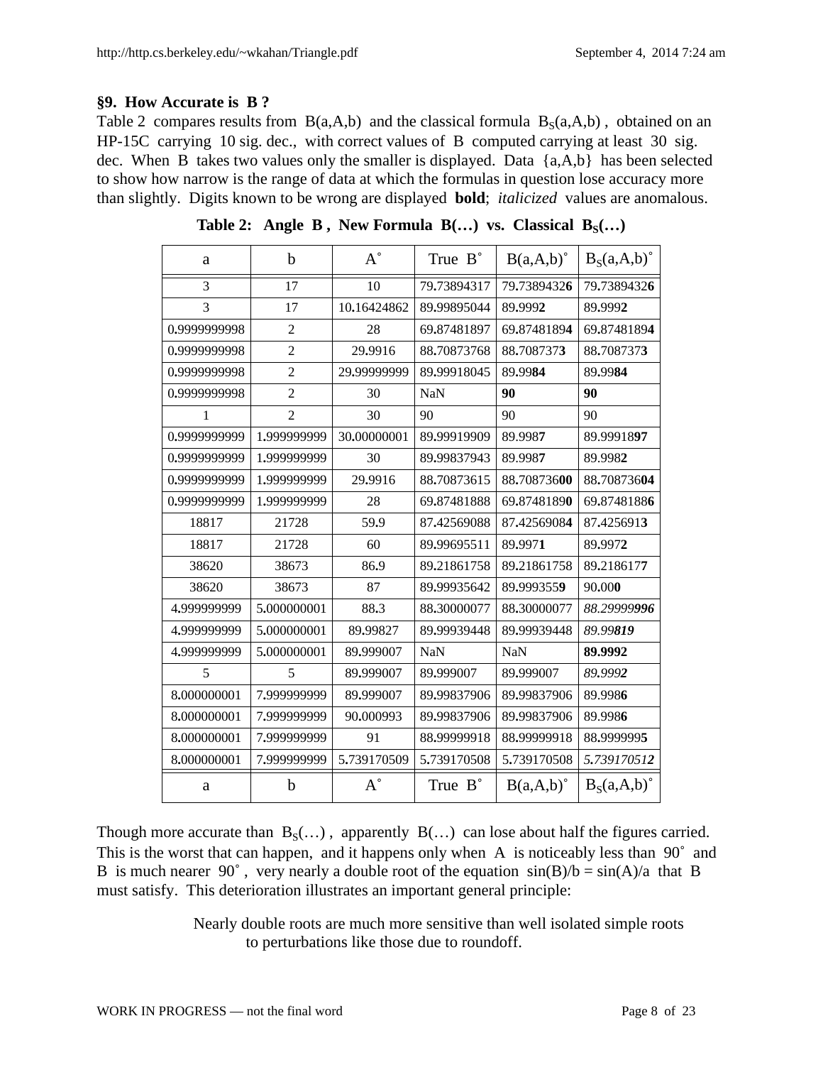## **§9. How Accurate is B ?**

Table 2 compares results from  $B(a, A, b)$  and the classical formula  $B<sub>S</sub>(a, A, b)$ , obtained on an HP-15C carrying 10 sig. dec., with correct values of B computed carrying at least 30 sig. dec. When B takes two values only the smaller is displayed. Data {a,A,b} has been selected to show how narrow is the range of data at which the formulas in question lose accuracy more than slightly. Digits known to be wrong are displayed **bold**; *italicized* values are anomalous.

| a            | $\mathbf b$    | $A^{\circ}$ | True B°     | $B(a, A, b)^{\circ}$ | $B_S(a,A,b)^\circ$ |
|--------------|----------------|-------------|-------------|----------------------|--------------------|
| 3            | 17             | 10          | 79.73894317 | 79.73894326          | 79.73894326        |
| 3            | 17             | 10.16424862 | 89.99895044 | 89.9992              | 89.9992            |
| 0.9999999998 | $\overline{2}$ | 28          | 69.87481897 | 69.87481894          | 69.87481894        |
| 0.9999999998 | $\overline{2}$ | 29.9916     | 88.70873768 | 88.7087373           | 88.7087373         |
| 0.9999999998 | $\overline{2}$ | 29,99999999 | 89.99918045 | 89.9984              | 89.9984            |
| 0.9999999998 | $\overline{2}$ | 30          | <b>NaN</b>  | 90                   | 90                 |
| 1            | $\overline{2}$ | 30          | 90          | 90                   | 90                 |
| 0.9999999999 | 1.999999999    | 30.00000001 | 89.99919909 | 89.9987              | 89.9991897         |
| 0.9999999999 | 1.999999999    | 30          | 89.99837943 | 89.9987              | 89.9982            |
| 0.9999999999 | 1.999999999    | 29.9916     | 88.70873615 | 88.70873600          | 88.70873604        |
| 0.9999999999 | 1,999999999    | 28          | 69.87481888 | 69.87481890          | 69.87481886        |
| 18817        | 21728          | 59.9        | 87.42569088 | 87.42569084          | 87.4256913         |
| 18817        | 21728          | 60          | 89.99695511 | 89.9971              | 89.9972            |
| 38620        | 38673          | 86.9        | 89.21861758 | 89.21861758          | 89.2186177         |
| 38620        | 38673          | 87          | 89.99935642 | 89.9993559           | 90.000             |
| 4,999999999  | 5.000000001    | 88.3        | 88.30000077 | 88.30000077          | 88.29999996        |
| 4.999999999  | 5.000000001    | 89.99827    | 89.99939448 | 89.99939448          | 89.99819           |
| 4,999999999  | 5.000000001    | 89,999007   | <b>NaN</b>  | <b>NaN</b>           | 89.9992            |
| 5            | 5              | 89.999007   | 89.999007   | 89.999007            | 89.9992            |
| 8.000000001  | 7.999999999    | 89,999007   | 89,99837906 | 89,99837906          | 89.9986            |
| 8.000000001  | 7.999999999    | 90.000993   | 89.99837906 | 89.99837906          | 89.9986            |
| 8.000000001  | 7.999999999    | 91          | 88.99999918 | 88.99999918          | 88,9999995         |
| 8.000000001  | 7.999999999    | 5.739170509 | 5.739170508 | 5.739170508          | 5.739170512        |
| a            | b              | $A^{\circ}$ | True B°     | $B(a,A,b)^\circ$     | $B_S(a,A,b)^\circ$ |

**Table 2:** Angle B, New Formula  $B(...)$  vs. Classical  $B_S(...)$ 

Though more accurate than  $B_S(...)$ , apparently  $B(...)$  can lose about half the figures carried. This is the worst that can happen, and it happens only when A is noticeably less than 90° and B is much nearer 90°, very nearly a double root of the equation  $sin(B)/b = sin(A)/a$  that B must satisfy. This deterioration illustrates an important general principle:

> Nearly double roots are much more sensitive than well isolated simple roots to perturbations like those due to roundoff.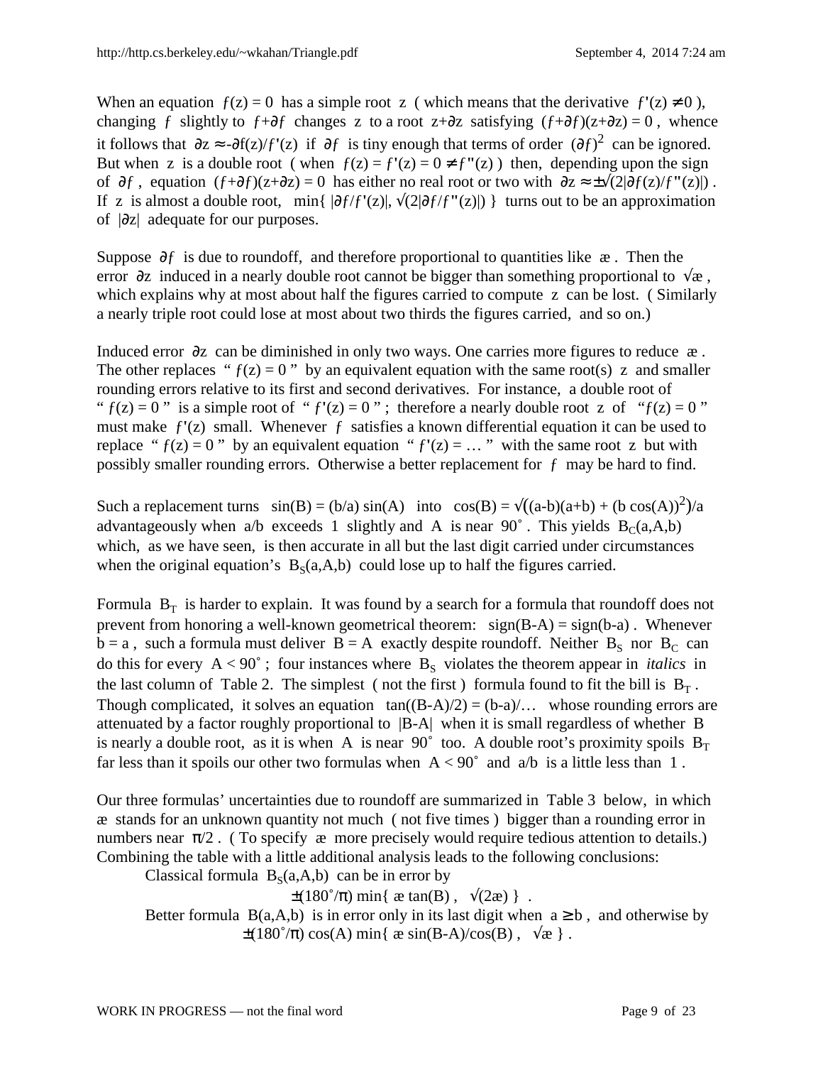When an equation  $f(z) = 0$  has a simple root z (which means that the derivative  $f'(z) \neq 0$ ), changing f slightly to  $f + \partial f$  changes z to a root z+ $\partial z$  satisfying  $(f + \partial f)(z + \partial z) = 0$ , whence it follows that  $\partial z \approx -\partial f(z)/f'(z)$  if  $\partial f$  is tiny enough that terms of order  $(\partial f)^2$  can be ignored. But when z is a double root (when  $f(z) = f'(z) = 0 \neq f''(z)$ ) then, depending upon the sign of ∂ƒ , equation (ƒ+∂ƒ)(z+∂z) = 0 has either no real root or two with ∂z ≈ ±√(2|∂ƒ(z)/ƒ**"**(z)|) . If z is almost a double root, min{ |∂ƒ/ƒ**'**(z)|, √(2|∂ƒ/ƒ**"**(z)|) } turns out to be an approximation of |∂z| adequate for our purposes.

Suppose  $\partial f$  is due to roundoff, and therefore proportional to quantities like  $\infty$ . Then the error ∂z induced in a nearly double root cannot be bigger than something proportional to  $\sqrt{\alpha}$ , which explains why at most about half the figures carried to compute z can be lost. (Similarly a nearly triple root could lose at most about two thirds the figures carried, and so on.)

Induced error ∂z can be diminished in only two ways. One carries more figures to reduce æ . The other replaces " $f(z) = 0$ " by an equivalent equation with the same root(s) z and smaller rounding errors relative to its first and second derivatives. For instance, a double root of "  $f(z) = 0$ " is a simple root of " $f'(z) = 0$ "; therefore a nearly double root z of " $f(z) = 0$ " must make ƒ**'**(z) small. Whenever ƒ satisfies a known differential equation it can be used to replace " $f(z) = 0$ " by an equivalent equation " $f'(z) = ...$ " with the same root z but with possibly smaller rounding errors. Otherwise a better replacement for ƒ may be hard to find.

Such a replacement turns  $sin(B) = (b/a) sin(A)$  into  $cos(B) = \sqrt{(a-b)(a+b) + (b cos(A))^2}/a$ advantageously when a/b exceeds 1 slightly and A is near 90 $^{\circ}$ . This yields B<sub>C</sub>(a,A,b) which, as we have seen, is then accurate in all but the last digit carried under circumstances when the original equation's  $B_S(a, A, b)$  could lose up to half the figures carried.

Formula  $B_T$  is harder to explain. It was found by a search for a formula that roundoff does not prevent from honoring a well-known geometrical theorem:  $sign(B-A) = sign(b-a)$ . Whenever  $b = a$ , such a formula must deliver  $B = A$  exactly despite roundoff. Neither  $B_s$  nor  $B_c$  can do this for every  $A < 90^\circ$ ; four instances where  $B_s$  violates the theorem appear in *italics* in the last column of Table 2. The simplest (not the first) formula found to fit the bill is  $B_T$ . Though complicated, it solves an equation  $tan((B-A)/2) = (b-a)/...$  whose rounding errors are attenuated by a factor roughly proportional to |B-A| when it is small regardless of whether B is nearly a double root, as it is when A is near 90° too. A double root's proximity spoils  $B_T$ far less than it spoils our other two formulas when  $A < 90^\circ$  and  $a/b$  is a little less than 1.

Our three formulas' uncertainties due to roundoff are summarized in Table 3 below, in which æ stands for an unknown quantity not much ( not five times ) bigger than a rounding error in numbers near  $\pi/2$ . (To specify  $\alpha$  more precisely would require tedious attention to details.) Combining the table with a little additional analysis leads to the following conclusions:

Classical formula  $B_S(a,A,b)$  can be in error by

 $\pm (180^{\circ}/\pi)$  min{ æ tan(B),  $\sqrt{2\pi}$ }.

Better formula B(a,A,b) is in error only in its last digit when  $a \ge b$ , and otherwise by  $\pm (180^\circ/\pi) \cos(A) \min\{ \frac{\text{e} \sin(B-A)}{\cos(B)}, \sqrt{\text{e}} \}.$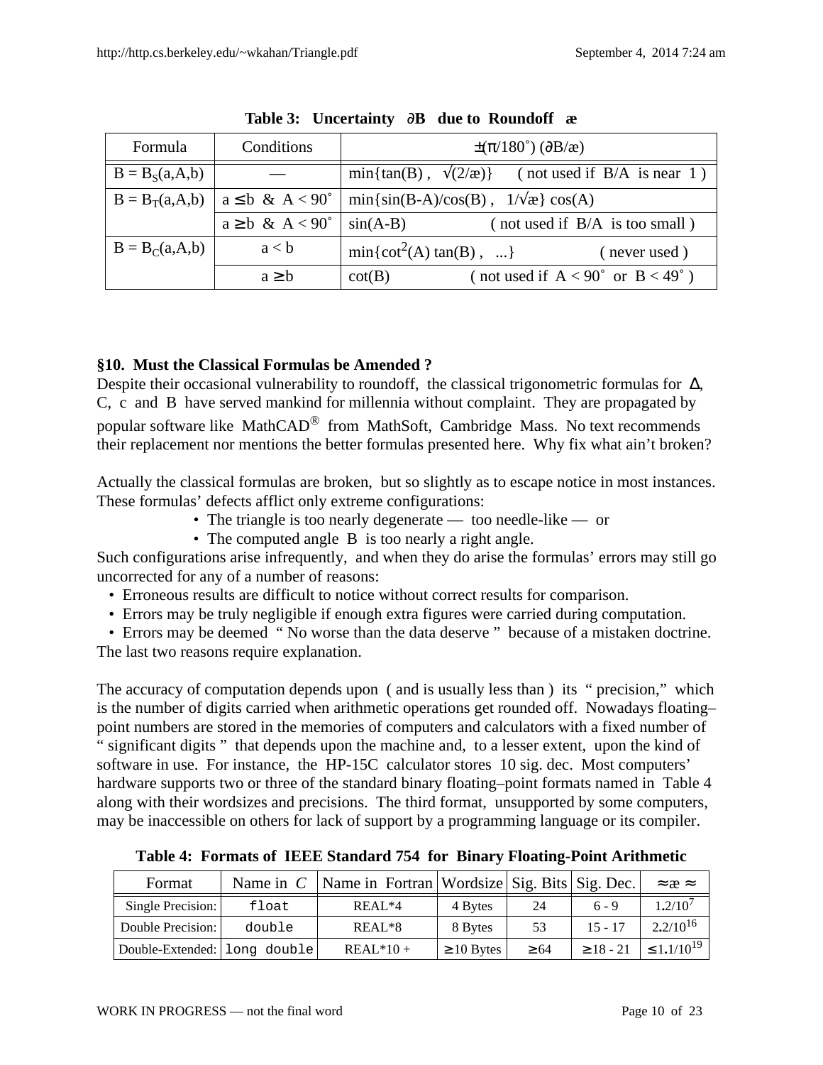| Formula            | Conditions                   | $\pm(\pi/180^\circ)$ ( $\partial$ B/æ)                         |
|--------------------|------------------------------|----------------------------------------------------------------|
| $B = BS(a,A,b)$    |                              | $min\{\tan(B), \sqrt{2}/x\}\$<br>(not used if $B/A$ is near 1) |
| $B = B_T(a,A,b)$   | $a \leq b \& A < 90^\circ$   | $min\{sin(B-A)/cos(B), 1/\sqrt{x}\}cos(A)$                     |
|                    | $a \geq b \& A < 90^{\circ}$ | (not used if B/A is too small)<br>$sin(A-B)$                   |
| $B = B_C(a, A, b)$ | a < b                        | $min{cot2(A) tan(B), }$<br>(never used)                        |
|                    | $a \geq b$                   | (not used if $A < 90^\circ$ or $B < 49^\circ$ )<br>$\cot(B)$   |

**Table 3: Uncertainty** ∂**B due to Roundoff æ**

# **§10. Must the Classical Formulas be Amended ?**

Despite their occasional vulnerability to roundoff, the classical trigonometric formulas for Δ, C, c and B have served mankind for millennia without complaint. They are propagated by popular software like MathCAD® from MathSoft, Cambridge Mass. No text recommends their replacement nor mentions the better formulas presented here. Why fix what ain't broken?

Actually the classical formulas are broken, but so slightly as to escape notice in most instances. These formulas' defects afflict only extreme configurations:

- The triangle is too nearly degenerate too needle-like or
- The computed angle B is too nearly a right angle.

Such configurations arise infrequently, and when they do arise the formulas' errors may still go uncorrected for any of a number of reasons:

- Erroneous results are difficult to notice without correct results for comparison.
- Errors may be truly negligible if enough extra figures were carried during computation.
- Errors may be deemed " No worse than the data deserve " because of a mistaken doctrine. The last two reasons require explanation.

The accuracy of computation depends upon ( and is usually less than) its " precision," which is the number of digits carried when arithmetic operations get rounded off. Nowadays floating– point numbers are stored in the memories of computers and calculators with a fixed number of " significant digits " that depends upon the machine and, to a lesser extent, upon the kind of software in use. For instance, the HP-15C calculator stores 10 sig. dec. Most computers' hardware supports two or three of the standard binary floating–point formats named in Table 4 along with their wordsizes and precisions. The third format, unsupported by some computers, may be inaccessible on others for lack of support by a programming language or its compiler.

| Format                         |        | Name in $C$   Name in Fortran   Wordsize   Sig. Bits   Sig. Dec. |                 |           |             | $\approx$ $\approx$ |
|--------------------------------|--------|------------------------------------------------------------------|-----------------|-----------|-------------|---------------------|
| Single Precision:              | float  | $REAL*4$                                                         | 4 Bytes         | 24        | $6 - 9$     | $1.2/10^7$          |
| Double Precision:              | double | $REAL*8$                                                         | 8 Bytes         | 53        | $15 - 17$   | $2.2/10^{16}$       |
| Double-Extended: 1 long double |        | $REAL*10+$                                                       | $\geq 10$ Bytes | $\geq 64$ | $> 18 - 21$ | $\leq 1.1/10^{19}$  |

**Table 4: Formats of IEEE Standard 754 for Binary Floating-Point Arithmetic**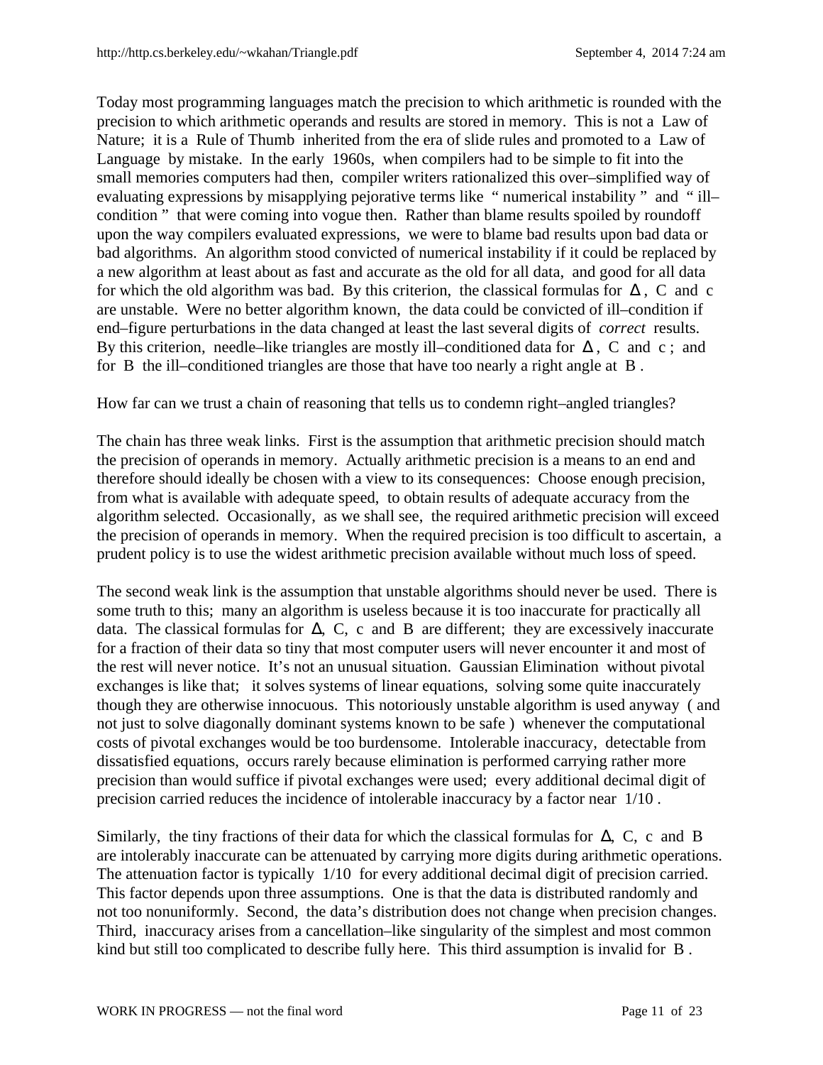Today most programming languages match the precision to which arithmetic is rounded with the precision to which arithmetic operands and results are stored in memory. This is not a Law of Nature; it is a Rule of Thumb inherited from the era of slide rules and promoted to a Law of Language by mistake. In the early 1960s, when compilers had to be simple to fit into the small memories computers had then, compiler writers rationalized this over–simplified way of evaluating expressions by misapplying pejorative terms like " numerical instability " and " ill– condition " that were coming into vogue then. Rather than blame results spoiled by roundoff upon the way compilers evaluated expressions, we were to blame bad results upon bad data or bad algorithms. An algorithm stood convicted of numerical instability if it could be replaced by a new algorithm at least about as fast and accurate as the old for all data, and good for all data for which the old algorithm was bad. By this criterion, the classical formulas for  $\Delta$ , C and c are unstable. Were no better algorithm known, the data could be convicted of ill–condition if end–figure perturbations in the data changed at least the last several digits of *correct* results. By this criterion, needle–like triangles are mostly ill–conditioned data for  $\Delta$ , C and c; and for B the ill–conditioned triangles are those that have too nearly a right angle at B .

How far can we trust a chain of reasoning that tells us to condemn right–angled triangles?

The chain has three weak links. First is the assumption that arithmetic precision should match the precision of operands in memory. Actually arithmetic precision is a means to an end and therefore should ideally be chosen with a view to its consequences: Choose enough precision, from what is available with adequate speed, to obtain results of adequate accuracy from the algorithm selected. Occasionally, as we shall see, the required arithmetic precision will exceed the precision of operands in memory. When the required precision is too difficult to ascertain, a prudent policy is to use the widest arithmetic precision available without much loss of speed.

The second weak link is the assumption that unstable algorithms should never be used. There is some truth to this; many an algorithm is useless because it is too inaccurate for practically all data. The classical formulas for ∆, C, c and B are different; they are excessively inaccurate for a fraction of their data so tiny that most computer users will never encounter it and most of the rest will never notice. It's not an unusual situation. Gaussian Elimination without pivotal exchanges is like that; it solves systems of linear equations, solving some quite inaccurately though they are otherwise innocuous. This notoriously unstable algorithm is used anyway ( and not just to solve diagonally dominant systems known to be safe ) whenever the computational costs of pivotal exchanges would be too burdensome. Intolerable inaccuracy, detectable from dissatisfied equations, occurs rarely because elimination is performed carrying rather more precision than would suffice if pivotal exchanges were used; every additional decimal digit of precision carried reduces the incidence of intolerable inaccuracy by a factor near 1/10 .

Similarly, the tiny fractions of their data for which the classical formulas for  $\Delta$ , C, c and B are intolerably inaccurate can be attenuated by carrying more digits during arithmetic operations. The attenuation factor is typically 1/10 for every additional decimal digit of precision carried. This factor depends upon three assumptions. One is that the data is distributed randomly and not too nonuniformly. Second, the data's distribution does not change when precision changes. Third, inaccuracy arises from a cancellation–like singularity of the simplest and most common kind but still too complicated to describe fully here. This third assumption is invalid for B .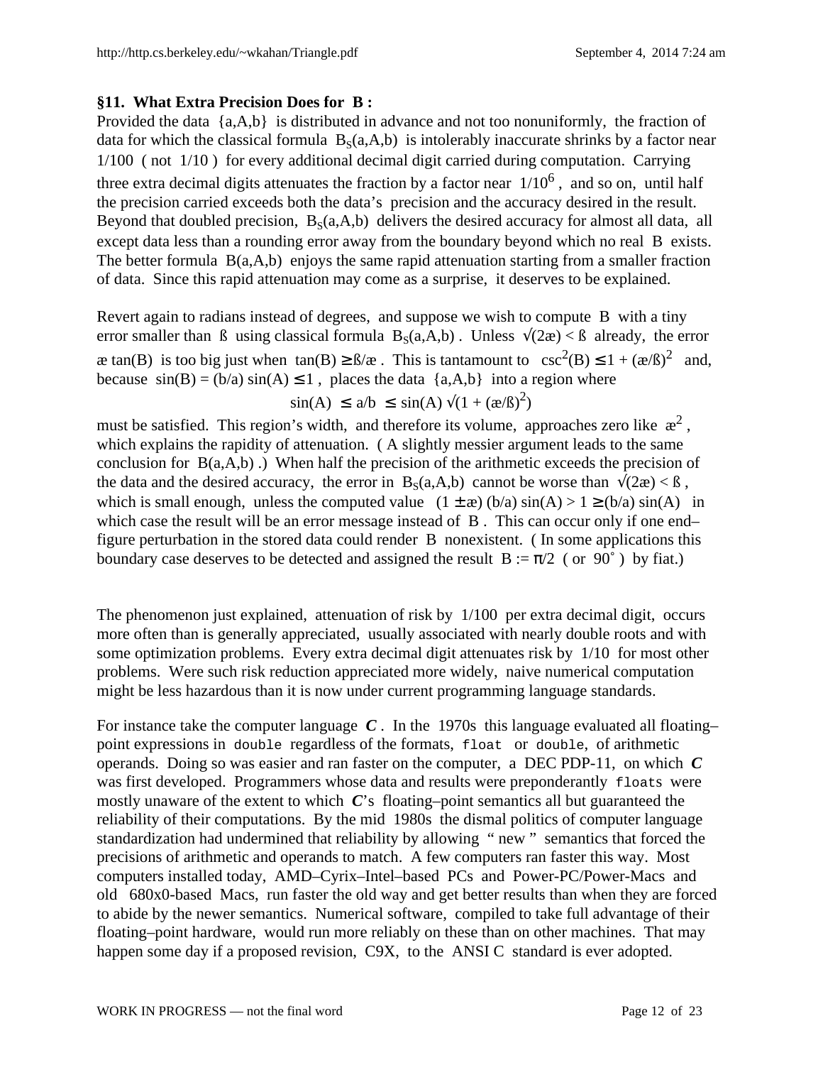# **§11. What Extra Precision Does for B :**

Provided the data {a,A,b} is distributed in advance and not too nonuniformly, the fraction of data for which the classical formula  $B_s(a,A,b)$  is intolerably inaccurate shrinks by a factor near 1/100 ( not 1/10 ) for every additional decimal digit carried during computation. Carrying three extra decimal digits attenuates the fraction by a factor near  $1/10^6$ , and so on, until half the precision carried exceeds both the data's precision and the accuracy desired in the result. Beyond that doubled precision,  $B_s(a, A, b)$  delivers the desired accuracy for almost all data, all except data less than a rounding error away from the boundary beyond which no real B exists. The better formula B(a,A,b) enjoys the same rapid attenuation starting from a smaller fraction of data. Since this rapid attenuation may come as a surprise, it deserves to be explained.

Revert again to radians instead of degrees, and suppose we wish to compute B with a tiny error smaller than B using classical formula  $B_s(a,A,b)$ . Unless  $\sqrt{(2\alpha)} < \beta$  already, the error æ tan(B) is too big just when  $tan(B) \geq \frac{B}{\alpha}$ . This is tantamount to  $csc^2(B) \leq 1 + (\frac{\alpha}{\beta})^2$  and, because  $sin(B) = (b/a) sin(A) \le 1$ , places the data  $\{a, A, b\}$  into a region where  $\sin(A) \le a/b \le \sin(A) \sqrt{(1 + (x/\beta)^2)}$ 

must be satisfied. This region's width, and therefore its volume, approaches zero like  $x^2$ , which explains the rapidity of attenuation. (A slightly messier argument leads to the same conclusion for  $B(a, A, b)$ .) When half the precision of the arithmetic exceeds the precision of the data and the desired accuracy, the error in  $B_s(a,A,b)$  cannot be worse than  $\sqrt{2a}$  <  $\beta$ , which is small enough, unless the computed value  $(1 \pm \infty)$  (b/a)  $\sin(A) > 1 \ge (b/a) \sin(A)$  in which case the result will be an error message instead of B. This can occur only if one end– figure perturbation in the stored data could render B nonexistent. ( In some applications this boundary case deserves to be detected and assigned the result  $B := \pi/2$  (or 90°) by fiat.)

The phenomenon just explained, attenuation of risk by 1/100 per extra decimal digit, occurs more often than is generally appreciated, usually associated with nearly double roots and with some optimization problems. Every extra decimal digit attenuates risk by 1/10 for most other problems. Were such risk reduction appreciated more widely, naive numerical computation might be less hazardous than it is now under current programming language standards.

For instance take the computer language *C* . In the 1970s this language evaluated all floating– point expressions in double regardless of the formats, float or double, of arithmetic operands. Doing so was easier and ran faster on the computer, a DEC PDP-11, on which *C* was first developed. Programmers whose data and results were preponderantly floats were mostly unaware of the extent to which *C*'s floating–point semantics all but guaranteed the reliability of their computations. By the mid 1980s the dismal politics of computer language standardization had undermined that reliability by allowing " new " semantics that forced the precisions of arithmetic and operands to match. A few computers ran faster this way. Most computers installed today, AMD–Cyrix–Intel–based PCs and Power-PC/Power-Macs and old 680x0-based Macs, run faster the old way and get better results than when they are forced to abide by the newer semantics. Numerical software, compiled to take full advantage of their floating–point hardware, would run more reliably on these than on other machines. That may happen some day if a proposed revision, C9X, to the ANSI C standard is ever adopted.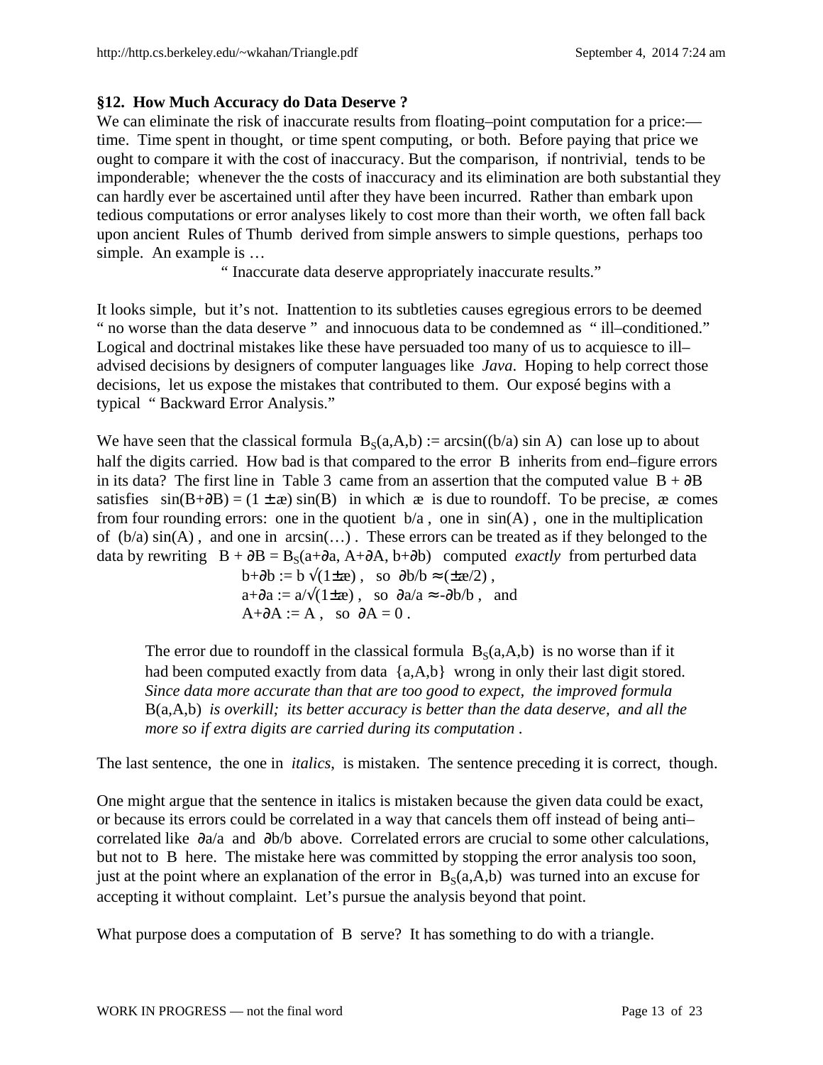# **§12. How Much Accuracy do Data Deserve ?**

We can eliminate the risk of inaccurate results from floating–point computation for a price: time. Time spent in thought, or time spent computing, or both. Before paying that price we ought to compare it with the cost of inaccuracy. But the comparison, if nontrivial, tends to be imponderable; whenever the the costs of inaccuracy and its elimination are both substantial they can hardly ever be ascertained until after they have been incurred. Rather than embark upon tedious computations or error analyses likely to cost more than their worth, we often fall back upon ancient Rules of Thumb derived from simple answers to simple questions, perhaps too simple. An example is …

" Inaccurate data deserve appropriately inaccurate results."

It looks simple, but it's not. Inattention to its subtleties causes egregious errors to be deemed " no worse than the data deserve " and innocuous data to be condemned as " ill–conditioned." Logical and doctrinal mistakes like these have persuaded too many of us to acquiesce to ill– advised decisions by designers of computer languages like *Java*. Hoping to help correct those decisions, let us expose the mistakes that contributed to them. Our exposé begins with a typical " Backward Error Analysis."

We have seen that the classical formula  $B_s(a,A,b) := \arcsin((b/a) \sin A)$  can lose up to about half the digits carried. How bad is that compared to the error B inherits from end–figure errors in its data? The first line in Table 3 came from an assertion that the computed value  $B + \partial B$ satisfies  $sin(B+\partial B) = (1 \pm \infty) sin(B)$  in which  $\infty$  is due to roundoff. To be precise,  $\infty$  comes from four rounding errors: one in the quotient  $b/a$ , one in  $sin(A)$ , one in the multiplication of  $(b/a) \sin(A)$ , and one in  $arcsin(...)$ . These errors can be treated as if they belonged to the data by rewriting  $B + \partial B = B_s(a + \partial a, A + \partial A, b + \partial b)$  computed *exactly* from perturbed data

 $b+\partial b := b \sqrt{(1 \pm \mathcal{x})}$ , so  $\partial b/b \approx (\pm \mathcal{x}/2)$ ,  $a+\partial a := a/\sqrt{1\pm x}$ , so  $\partial a/a \approx -\partial b/b$ , and  $A+\partial A := A$ , so  $\partial A = 0$ .

The error due to roundoff in the classical formula  $B_s(a,A,b)$  is no worse than if it had been computed exactly from data {a,A,b} wrong in only their last digit stored. *Since data more accurate than that are too good to expect, the improved formula* B(a,A,b) *is overkill; its better accuracy is better than the data deserve, and all the more so if extra digits are carried during its computation* .

The last sentence, the one in *italics*, is mistaken. The sentence preceding it is correct, though.

One might argue that the sentence in italics is mistaken because the given data could be exact, or because its errors could be correlated in a way that cancels them off instead of being anti– correlated like ∂a/a and ∂b/b above. Correlated errors are crucial to some other calculations, but not to B here. The mistake here was committed by stopping the error analysis too soon, just at the point where an explanation of the error in  $B<sub>s</sub>(a,A,b)$  was turned into an excuse for accepting it without complaint. Let's pursue the analysis beyond that point.

What purpose does a computation of B serve? It has something to do with a triangle.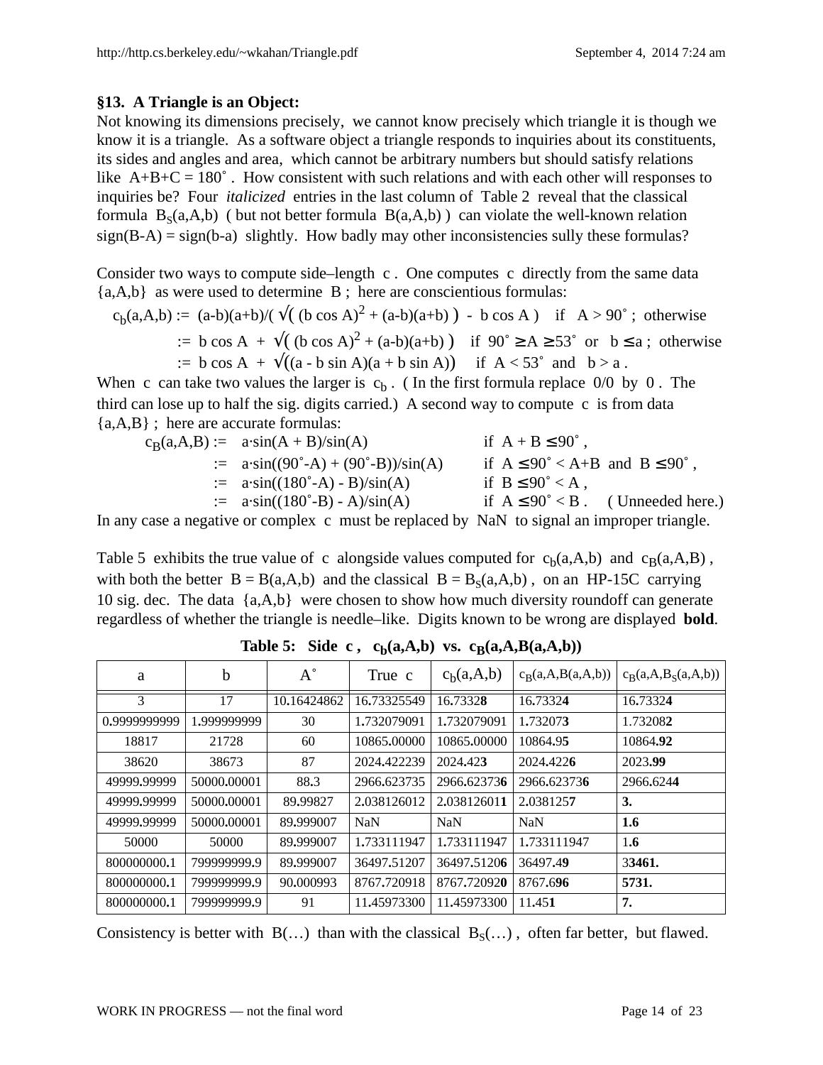## **§13. A Triangle is an Object:**

Not knowing its dimensions precisely, we cannot know precisely which triangle it is though we know it is a triangle. As a software object a triangle responds to inquiries about its constituents, its sides and angles and area, which cannot be arbitrary numbers but should satisfy relations like  $A+B+C = 180^\circ$ . How consistent with such relations and with each other will responses to inquiries be? Four *italicized* entries in the last column of Table 2 reveal that the classical formula  $B_S(a,A,b)$  ( but not better formula  $B(a,A,b)$  ) can violate the well-known relation  $sign(B-A) = sign(b-a)$  slightly. How badly may other inconsistencies sully these formulas?

Consider two ways to compute side–length c . One computes c directly from the same data  ${a, A, b}$  as were used to determine B; here are conscientious formulas:

$$
c_b(a, A, b) := (a-b)(a+b)/(\sqrt{((b \cos A)^2 + (a-b)(a+b)) - b \cos A)}
$$
if  $A > 90^\circ$ ; otherwise  
 := b cos A +  $\sqrt{((b \cos A)^2 + (a-b)(a+b))}$  if  $90^\circ \ge A \ge 53^\circ$  or  $b \le a$ ; otherwise  
 := b cos A +  $\sqrt{((a - b \sin A)(a + b \sin A))}$  if  $A < 53^\circ$  and  $b > a$ .

When c can take two values the larger is  $c_b$ . (In the first formula replace 0/0 by 0. The third can lose up to half the sig. digits carried.) A second way to compute c is from data {a,A,B} ; here are accurate formulas:

$$
c_B(a, A, B) := a \cdot \sin(A + B)/\sin(A)
$$
  
\n
$$
= a \cdot \sin((90^\circ - A) + (90^\circ - B))/\sin(A)
$$
  
\n
$$
= a \cdot \sin((180^\circ - A) - B)/\sin(A)
$$
  
\n
$$
= a \cdot \sin((180^\circ - A) - B)/\sin(A)
$$
  
\n
$$
= a \cdot \sin((180^\circ - B) - A)/\sin(A)
$$
  
\nif  $B \le 90^\circ < A$ ,  
\nif  $A \le 90^\circ < A$ ,  
\nif  $A \le 90^\circ < B$ . (Unneeded here.)

In any case a negative or complex c must be replaced by NaN to signal an improper triangle.

Table 5 exhibits the true value of c alongside values computed for  $c_b(a,A,b)$  and  $c_B(a,A,B)$ , with both the better  $B = B(a, A, b)$  and the classical  $B = B<sub>s</sub>(a, A, b)$ , on an HP-15C carrying 10 sig. dec. The data {a,A,b} were chosen to show how much diversity roundoff can generate regardless of whether the triangle is needle–like. Digits known to be wrong are displayed **bold**.

| a            | b           | $A^{\circ}$ | True c      | c <sub>b</sub> (a,A,b) | $c_B(a,A,B(a,A,b))$ | $c_R(a,A,B_S(a,A,b))$ |
|--------------|-------------|-------------|-------------|------------------------|---------------------|-----------------------|
| 3            | 17          | 10.16424862 | 16.73325549 | 16.73328               | 16.73324            | 16.73324              |
| 0.9999999999 | 1.999999999 | 30          | 1.732079091 | 1.732079091            | 1.732073            | 1.732082              |
| 18817        | 21728       | 60          | 10865,00000 | 10865,00000            | 10864.95            | 10864.92              |
| 38620        | 38673       | 87          | 2024.422239 | 2024.423               | 2024.4226           | 2023.99               |
| 49999.99999  | 50000.00001 | 88.3        | 2966.623735 | 2966.623736            | 2966.623736         | 2966.6244             |
| 49999.99999  | 50000.00001 | 89.99827    | 2.038126012 | 2.038126011            | 2.0381257           | 3.                    |
| 49999.99999  | 50000.00001 | 89,999007   | <b>NaN</b>  | <b>NaN</b>             | <b>NaN</b>          | 1.6                   |
| 50000        | 50000       | 89,999007   | 1.733111947 | 1.733111947            | 1.733111947         | 1.6                   |
| 800000000.1  | 799999999.9 | 89,999007   | 36497.51207 | 36497.51206            | 36497.49            | 33461.                |
| 800000000.1  | 799999999.9 | 90.000993   | 8767,720918 | 8767,720920            | 8767.696            | 5731.                 |
| 800000000.1  | 799999999.9 | 91          | 11.45973300 | 11.45973300            | 11.451              | 7.                    |

**Table 5:** Side c,  $c_b(a,A,b)$  vs.  $c_B(a,A,B(a,A,b))$ 

Consistency is better with  $B(...)$  than with the classical  $B_S(...)$ , often far better, but flawed.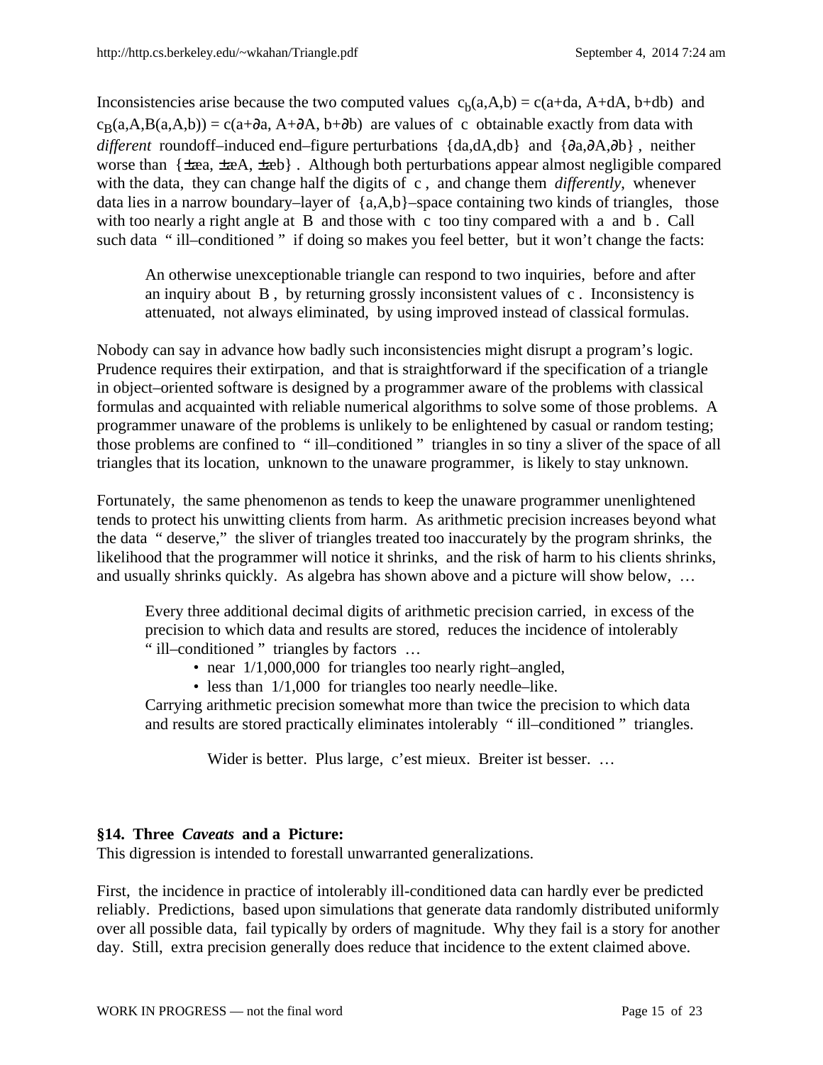Inconsistencies arise because the two computed values  $c_b(a,A,b) = c(a+da, A+dA, b+db)$  and  $c_B(a, A, B(a, A, b)) = c(a + \partial a, A + \partial A, b + \partial b)$  are values of c obtainable exactly from data with *different* roundoff–induced end–figure perturbations {da,dA,db} and {∂a,∂A,∂b} , neither worse than {±æa, ±æA, ±æb} . Although both perturbations appear almost negligible compared with the data, they can change half the digits of c , and change them *differently*, whenever data lies in a narrow boundary–layer of  ${a, A, b}$ –space containing two kinds of triangles, those with too nearly a right angle at B and those with c too tiny compared with a and b. Call such data " ill–conditioned " if doing so makes you feel better, but it won't change the facts:

An otherwise unexceptionable triangle can respond to two inquiries, before and after an inquiry about B , by returning grossly inconsistent values of c . Inconsistency is attenuated, not always eliminated, by using improved instead of classical formulas.

Nobody can say in advance how badly such inconsistencies might disrupt a program's logic. Prudence requires their extirpation, and that is straightforward if the specification of a triangle in object–oriented software is designed by a programmer aware of the problems with classical formulas and acquainted with reliable numerical algorithms to solve some of those problems. A programmer unaware of the problems is unlikely to be enlightened by casual or random testing; those problems are confined to " ill–conditioned " triangles in so tiny a sliver of the space of all triangles that its location, unknown to the unaware programmer, is likely to stay unknown.

Fortunately, the same phenomenon as tends to keep the unaware programmer unenlightened tends to protect his unwitting clients from harm. As arithmetic precision increases beyond what the data " deserve," the sliver of triangles treated too inaccurately by the program shrinks, the likelihood that the programmer will notice it shrinks, and the risk of harm to his clients shrinks, and usually shrinks quickly. As algebra has shown above and a picture will show below, …

Every three additional decimal digits of arithmetic precision carried, in excess of the precision to which data and results are stored, reduces the incidence of intolerably " ill–conditioned " triangles by factors …

- near  $1/1,000,000$  for triangles too nearly right–angled,
- less than  $1/1,000$  for triangles too nearly needle–like.

Carrying arithmetic precision somewhat more than twice the precision to which data and results are stored practically eliminates intolerably " ill–conditioned " triangles.

Wider is better. Plus large, c'est mieux. Breiter ist besser. …

# **§14. Three** *Caveats* **and a Picture:**

This digression is intended to forestall unwarranted generalizations.

First, the incidence in practice of intolerably ill-conditioned data can hardly ever be predicted reliably. Predictions, based upon simulations that generate data randomly distributed uniformly over all possible data, fail typically by orders of magnitude. Why they fail is a story for another day. Still, extra precision generally does reduce that incidence to the extent claimed above.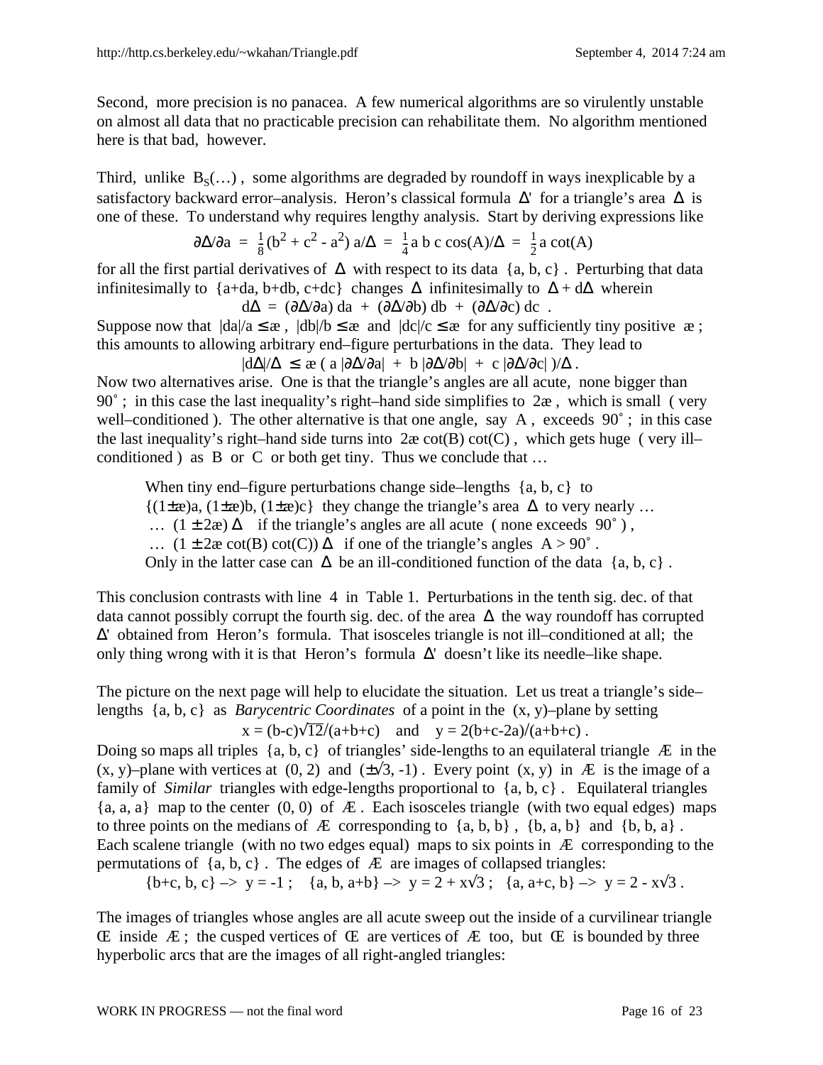Second, more precision is no panacea. A few numerical algorithms are so virulently unstable on almost all data that no practicable precision can rehabilitate them. No algorithm mentioned here is that bad, however.

Third, unlike  $B_S(...)$ , some algorithms are degraded by roundoff in ways inexplicable by a satisfactory backward error–analysis. Heron's classical formula  $\Delta'$  for a triangle's area  $\Delta$  is one of these. To understand why requires lengthy analysis. Start by deriving expressions like

$$
\frac{\partial \Delta}{\partial a} = \frac{1}{8} (b^2 + c^2 - a^2) a/\Delta = \frac{1}{4} a b c \cos(A)/\Delta = \frac{1}{2} a \cot(A)
$$

for all the first partial derivatives of  $\Delta$  with respect to its data {a, b, c}. Perturbing that data infinitesimally to {a+da, b+db, c+dc} changes  $\Delta$  infinitesimally to  $\Delta + d\Delta$  wherein

 $d\Delta = (\partial \Delta / \partial a) da + (\partial \Delta / \partial b) db + (\partial \Delta / \partial c) dc$ . Suppose now that  $|da|/a \leq \mathcal{X}$ ,  $|db|/b \leq \mathcal{X}$  and  $|dc|/c \leq \mathcal{X}$  for any sufficiently tiny positive  $\mathcal{X}$ ; this amounts to allowing arbitrary end–figure perturbations in the data. They lead to  $|d\Delta/\Delta \leq \mathfrak{E}$  ( a  $|\partial\Delta/\partial a| + b |\partial\Delta/\partial b| + c |\partial\Delta/\partial c|$  )/ $\Delta$ .

Now two alternatives arise. One is that the triangle's angles are all acute, none bigger than  $90^\circ$ ; in this case the last inequality's right–hand side simplifies to  $2\mathbf{\hat{z}}$ , which is small (very well–conditioned ). The other alternative is that one angle, say A, exceeds 90°; in this case the last inequality's right–hand side turns into  $2\alpha \cot(B) \cot(C)$ , which gets huge (very ill– conditioned ) as B or C or both get tiny. Thus we conclude that …

When tiny end–figure perturbations change side–lengths  $\{a, b, c\}$  to  ${(1 \pm \mathcal{E})a, (1 \pm \mathcal{E})b, (1 \pm \mathcal{E})c}$  they change the triangle's area  $\Delta$  to very nearly ... …  $(1 ± 2<sup>α</sup>)$  ∆ if the triangle's angles are all acute (none exceeds 90°), ...  $(1 \pm 2\mathcal{X} \cot(B) \cot(C))$  ∆ if one of the triangle's angles A > 90°. Only in the latter case can  $\Delta$  be an ill-conditioned function of the data {a, b, c}.

This conclusion contrasts with line 4 in Table 1. Perturbations in the tenth sig. dec. of that data cannot possibly corrupt the fourth sig. dec. of the area ∆ the way roundoff has corrupted ∆' obtained from Heron's formula. That isosceles triangle is not ill–conditioned at all; the only thing wrong with it is that Heron's formula  $\Delta'$  doesn't like its needle–like shape.

The picture on the next page will help to elucidate the situation. Let us treat a triangle's side– lengths {a, b, c} as *Barycentric Coordinates* of a point in the (x, y)–plane by setting  $x = (b-c)\sqrt{12}/(a+b+c)$  and  $y = 2(b+c-2a)/(a+b+c)$ .

Doing so maps all triples  $\{a, b, c\}$  of triangles' side-lengths to an equilateral triangle  $\mathcal E$  in the  $(x, y)$ –plane with vertices at  $(0, 2)$  and  $(\pm \sqrt{3}, -1)$ . Every point  $(x, y)$  in Æ is the image of a family of *Similar* triangles with edge-lengths proportional to {a, b, c} . Equilateral triangles  ${a, a, a}$  map to the center  $(0, 0)$  of  $E$ . Each isosceles triangle (with two equal edges) maps to three points on the medians of  $E$  corresponding to  $\{a, b, b\}$ ,  $\{b, a, b\}$  and  $\{b, b, a\}$ . Each scalene triangle (with no two edges equal) maps to six points in Æ corresponding to the permutations of  $\{a, b, c\}$ . The edges of  $E$  are images of collapsed triangles:

{b+c, b, c} –> y = -1; {a, b, a+b} –> y = 2 + x $\sqrt{3}$ ; {a, a+c, b} –> y = 2 - x $\sqrt{3}$ .

The images of triangles whose angles are all acute sweep out the inside of a curvilinear triangle E inside  $\mathbb E$ ; the cusped vertices of  $\mathbb E$  are vertices of  $\mathbb E$  too, but  $\mathbb E$  is bounded by three hyperbolic arcs that are the images of all right-angled triangles: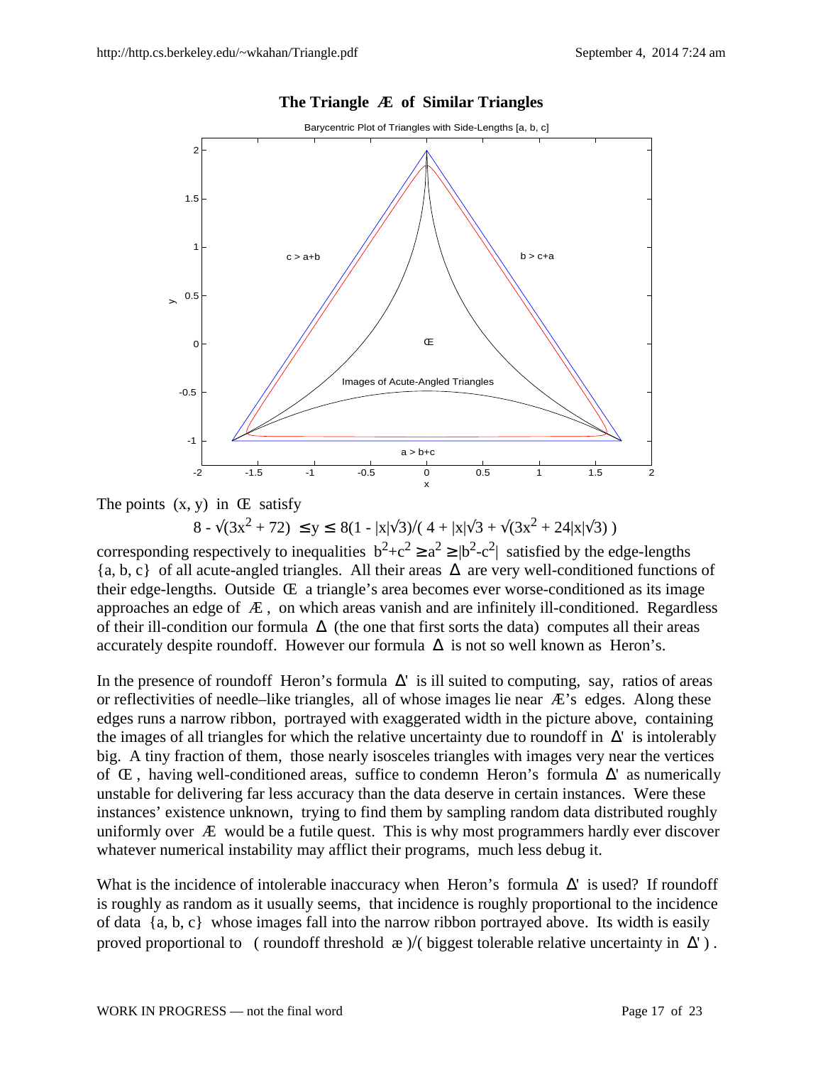

#### **The Triangle Æ of Similar Triangles**



 $8 - \sqrt{(3x^2 + 72)} \le y \le 8(1 - |x|\sqrt{3})/(4 + |x|\sqrt{3} + \sqrt{(3x^2 + 24|x|\sqrt{3})})$ 

corresponding respectively to inequalities  $b^2+c^2 \ge a^2 \ge |b^2-c^2|$  satisfied by the edge-lengths {a, b, c} of all acute-angled triangles. All their areas ∆ are very well-conditioned functions of their edge-lengths. Outside Œ a triangle's area becomes ever worse-conditioned as its image approaches an edge of  $E$ , on which areas vanish and are infinitely ill-conditioned. Regardless of their ill-condition our formula  $\Delta$  (the one that first sorts the data) computes all their areas accurately despite roundoff. However our formula  $\Delta$  is not so well known as Heron's.

In the presence of roundoff Heron's formula  $\Delta'$  is ill suited to computing, say, ratios of areas or reflectivities of needle–like triangles, all of whose images lie near  $\mathbb{E}$ 's edges. Along these edges runs a narrow ribbon, portrayed with exaggerated width in the picture above, containing the images of all triangles for which the relative uncertainty due to roundoff in  $\Delta'$  is intolerably big. A tiny fraction of them, those nearly isosceles triangles with images very near the vertices of Œ , having well-conditioned areas, suffice to condemn Heron's formula ∆' as numerically unstable for delivering far less accuracy than the data deserve in certain instances. Were these instances' existence unknown, trying to find them by sampling random data distributed roughly uniformly over Æ would be a futile quest. This is why most programmers hardly ever discover whatever numerical instability may afflict their programs, much less debug it.

What is the incidence of intolerable inaccuracy when Heron's formula  $\Delta'$  is used? If roundoff is roughly as random as it usually seems, that incidence is roughly proportional to the incidence of data {a, b, c} whose images fall into the narrow ribbon portrayed above. Its width is easily proved proportional to ( roundoff threshold  $\infty$  )/( biggest tolerable relative uncertainty in  $\Delta'$ ).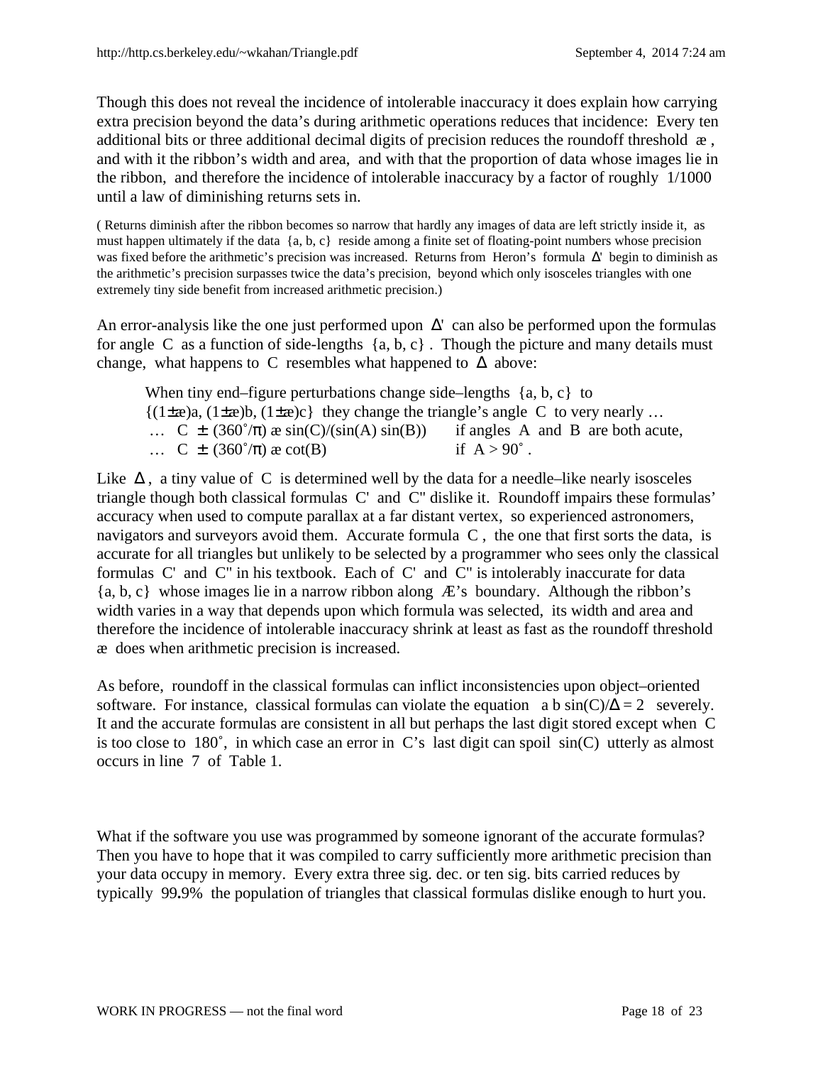Though this does not reveal the incidence of intolerable inaccuracy it does explain how carrying extra precision beyond the data's during arithmetic operations reduces that incidence: Every ten additional bits or three additional decimal digits of precision reduces the roundoff threshold æ , and with it the ribbon's width and area, and with that the proportion of data whose images lie in the ribbon, and therefore the incidence of intolerable inaccuracy by a factor of roughly 1/1000 until a law of diminishing returns sets in.

( Returns diminish after the ribbon becomes so narrow that hardly any images of data are left strictly inside it, as must happen ultimately if the data  ${a, b, c}$  reside among a finite set of floating-point numbers whose precision was fixed before the arithmetic's precision was increased. Returns from Heron's formula ∆' begin to diminish as the arithmetic's precision surpasses twice the data's precision, beyond which only isosceles triangles with one extremely tiny side benefit from increased arithmetic precision.)

An error-analysis like the one just performed upon  $\Delta'$  can also be performed upon the formulas for angle C as a function of side-lengths  $\{a, b, c\}$ . Though the picture and many details must change, what happens to C resembles what happened to  $\Delta$  above:

When tiny end–figure perturbations change side–lengths  $\{a, b, c\}$  to  ${(1 \pm \mathcal{E})a, (1 \pm \mathcal{E})b, (1 \pm \mathcal{E})c}$  they change the triangle's angle C to very nearly ... ...  $C \pm (360^{\circ}/\pi)$   $\propto$  sin(C)/(sin(A) sin(B)) if angles A and B are both acute, ...  $C \pm (360^{\circ}/\pi) \times \cot(B)$  if  $A > 90^{\circ}$ .

Like  $\Delta$ , a tiny value of C is determined well by the data for a needle–like nearly isosceles triangle though both classical formulas C' and C" dislike it. Roundoff impairs these formulas' accuracy when used to compute parallax at a far distant vertex, so experienced astronomers, navigators and surveyors avoid them. Accurate formula C , the one that first sorts the data, is accurate for all triangles but unlikely to be selected by a programmer who sees only the classical formulas C' and C" in his textbook. Each of C' and C" is intolerably inaccurate for data {a, b, c} whose images lie in a narrow ribbon along Æ's boundary. Although the ribbon's width varies in a way that depends upon which formula was selected, its width and area and therefore the incidence of intolerable inaccuracy shrink at least as fast as the roundoff threshold æ does when arithmetic precision is increased.

As before, roundoff in the classical formulas can inflict inconsistencies upon object–oriented software. For instance, classical formulas can violate the equation a b  $sin(C)/\Delta = 2$  severely. It and the accurate formulas are consistent in all but perhaps the last digit stored except when C is too close to 180˚, in which case an error in C's last digit can spoil sin(C) utterly as almost occurs in line 7 of Table 1.

What if the software you use was programmed by someone ignorant of the accurate formulas? Then you have to hope that it was compiled to carry sufficiently more arithmetic precision than your data occupy in memory. Every extra three sig. dec. or ten sig. bits carried reduces by typically 99**.**9% the population of triangles that classical formulas dislike enough to hurt you.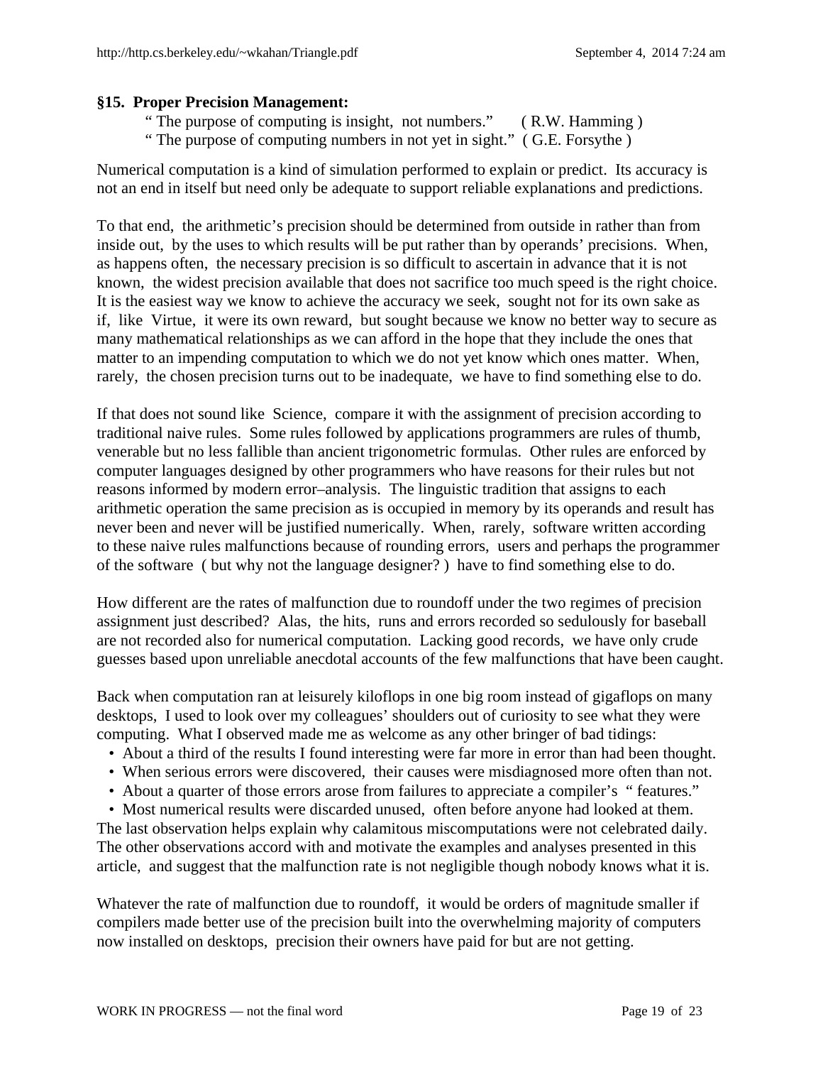## **§15. Proper Precision Management:**

- " The purpose of computing is insight, not numbers." ( R.W. Hamming )
- " The purpose of computing numbers in not yet in sight." (G.E. Forsythe)

Numerical computation is a kind of simulation performed to explain or predict. Its accuracy is not an end in itself but need only be adequate to support reliable explanations and predictions.

To that end, the arithmetic's precision should be determined from outside in rather than from inside out, by the uses to which results will be put rather than by operands' precisions. When, as happens often, the necessary precision is so difficult to ascertain in advance that it is not known, the widest precision available that does not sacrifice too much speed is the right choice. It is the easiest way we know to achieve the accuracy we seek, sought not for its own sake as if, like Virtue, it were its own reward, but sought because we know no better way to secure as many mathematical relationships as we can afford in the hope that they include the ones that matter to an impending computation to which we do not yet know which ones matter. When, rarely, the chosen precision turns out to be inadequate, we have to find something else to do.

If that does not sound like Science, compare it with the assignment of precision according to traditional naive rules. Some rules followed by applications programmers are rules of thumb, venerable but no less fallible than ancient trigonometric formulas. Other rules are enforced by computer languages designed by other programmers who have reasons for their rules but not reasons informed by modern error–analysis. The linguistic tradition that assigns to each arithmetic operation the same precision as is occupied in memory by its operands and result has never been and never will be justified numerically. When, rarely, software written according to these naive rules malfunctions because of rounding errors, users and perhaps the programmer of the software ( but why not the language designer? ) have to find something else to do.

How different are the rates of malfunction due to roundoff under the two regimes of precision assignment just described? Alas, the hits, runs and errors recorded so sedulously for baseball are not recorded also for numerical computation. Lacking good records, we have only crude guesses based upon unreliable anecdotal accounts of the few malfunctions that have been caught.

Back when computation ran at leisurely kiloflops in one big room instead of gigaflops on many desktops, I used to look over my colleagues' shoulders out of curiosity to see what they were computing. What I observed made me as welcome as any other bringer of bad tidings:

- About a third of the results I found interesting were far more in error than had been thought.
- When serious errors were discovered, their causes were misdiagnosed more often than not.
- About a quarter of those errors arose from failures to appreciate a compiler's " features."

 • Most numerical results were discarded unused, often before anyone had looked at them. The last observation helps explain why calamitous miscomputations were not celebrated daily. The other observations accord with and motivate the examples and analyses presented in this article, and suggest that the malfunction rate is not negligible though nobody knows what it is.

Whatever the rate of malfunction due to roundoff, it would be orders of magnitude smaller if compilers made better use of the precision built into the overwhelming majority of computers now installed on desktops, precision their owners have paid for but are not getting.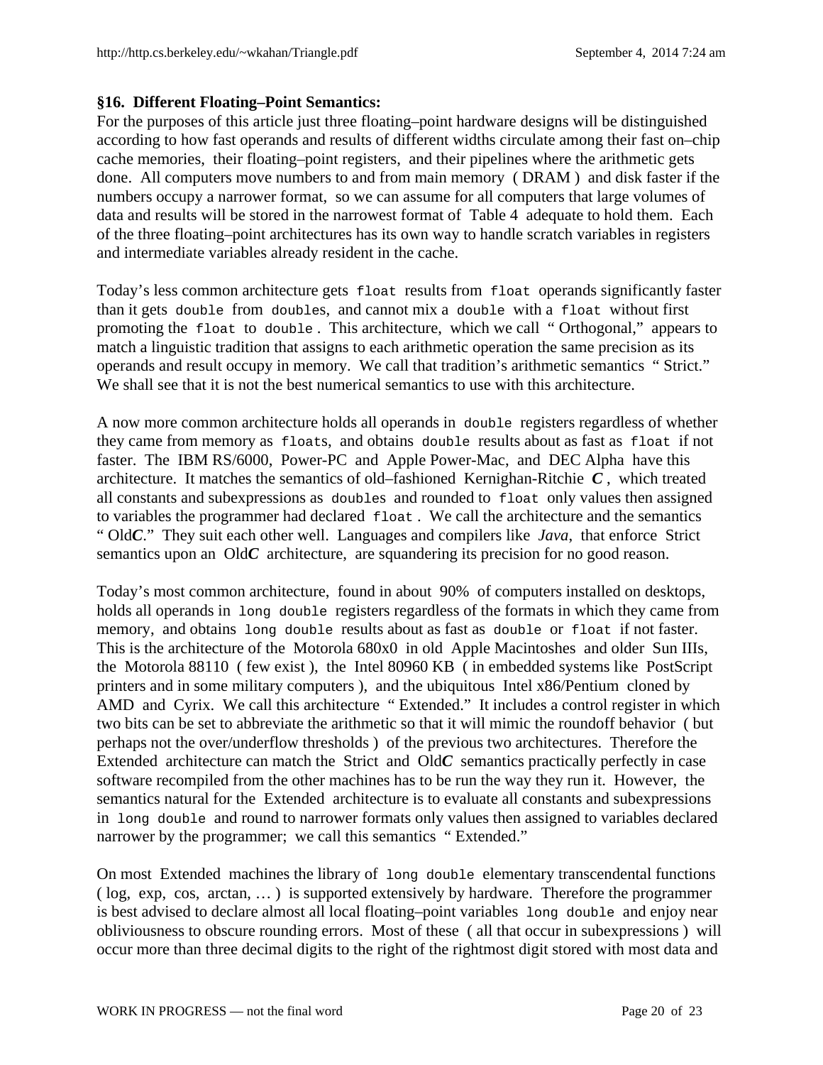# **§16. Different Floating–Point Semantics:**

For the purposes of this article just three floating–point hardware designs will be distinguished according to how fast operands and results of different widths circulate among their fast on–chip cache memories, their floating–point registers, and their pipelines where the arithmetic gets done. All computers move numbers to and from main memory ( DRAM ) and disk faster if the numbers occupy a narrower format, so we can assume for all computers that large volumes of data and results will be stored in the narrowest format of Table 4 adequate to hold them. Each of the three floating–point architectures has its own way to handle scratch variables in registers and intermediate variables already resident in the cache.

Today's less common architecture gets float results from float operands significantly faster than it gets double from doubles, and cannot mix a double with a float without first promoting the float to double . This architecture, which we call " Orthogonal," appears to match a linguistic tradition that assigns to each arithmetic operation the same precision as its operands and result occupy in memory. We call that tradition's arithmetic semantics " Strict." We shall see that it is not the best numerical semantics to use with this architecture.

A now more common architecture holds all operands in double registers regardless of whether they came from memory as floats, and obtains double results about as fast as float if not faster. The IBM RS/6000, Power-PC and Apple Power-Mac, and DEC Alpha have this architecture. It matches the semantics of old–fashioned Kernighan-Ritchie *C* , which treated all constants and subexpressions as doubles and rounded to float only values then assigned to variables the programmer had declared float . We call the architecture and the semantics " Old*C*." They suit each other well. Languages and compilers like *Java*, that enforce Strict semantics upon an OldC architecture, are squandering its precision for no good reason.

Today's most common architecture, found in about 90% of computers installed on desktops, holds all operands in long double registers regardless of the formats in which they came from memory, and obtains long double results about as fast as double or float if not faster. This is the architecture of the Motorola 680x0 in old Apple Macintoshes and older Sun IIIs, the Motorola 88110 ( few exist ), the Intel 80960 KB ( in embedded systems like PostScript printers and in some military computers ), and the ubiquitous Intel x86/Pentium cloned by AMD and Cyrix. We call this architecture " Extended." It includes a control register in which two bits can be set to abbreviate the arithmetic so that it will mimic the roundoff behavior ( but perhaps not the over/underflow thresholds ) of the previous two architectures. Therefore the Extended architecture can match the Strict and Old*C* semantics practically perfectly in case software recompiled from the other machines has to be run the way they run it. However, the semantics natural for the Extended architecture is to evaluate all constants and subexpressions in long double and round to narrower formats only values then assigned to variables declared narrower by the programmer; we call this semantics " Extended."

On most Extended machines the library of long double elementary transcendental functions ( log, exp, cos, arctan, … ) is supported extensively by hardware. Therefore the programmer is best advised to declare almost all local floating–point variables long double and enjoy near obliviousness to obscure rounding errors. Most of these ( all that occur in subexpressions ) will occur more than three decimal digits to the right of the rightmost digit stored with most data and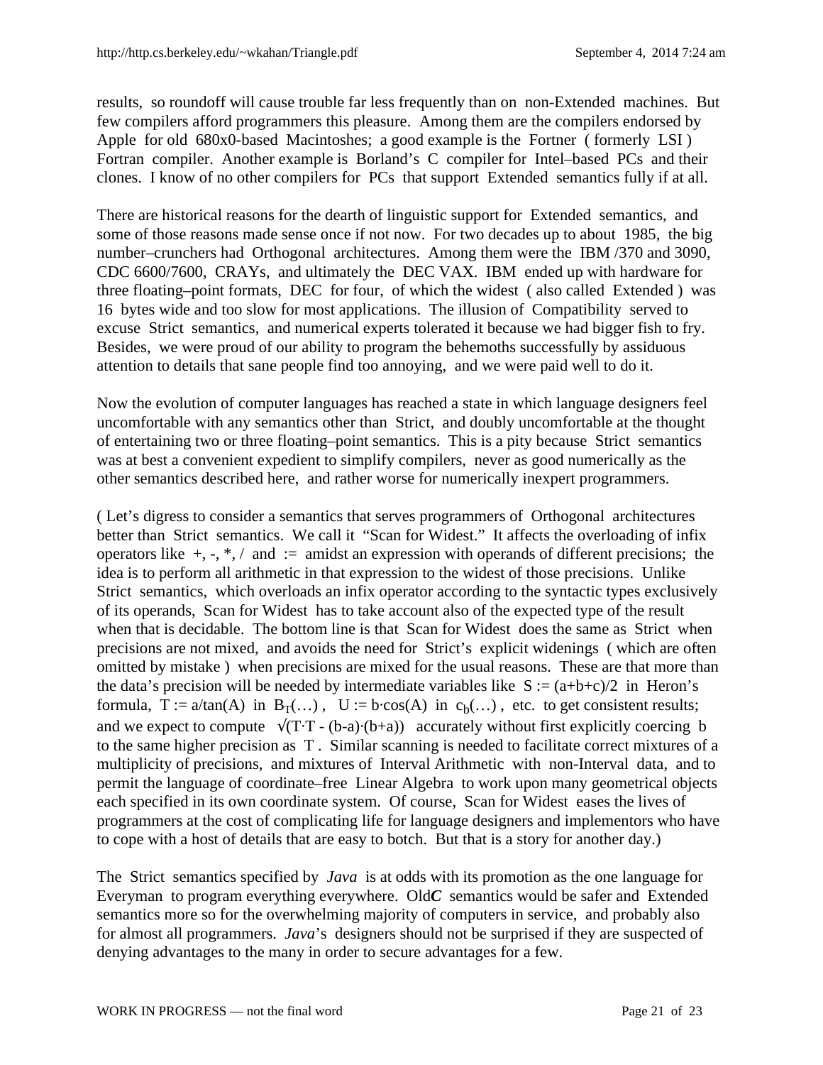results, so roundoff will cause trouble far less frequently than on non-Extended machines. But few compilers afford programmers this pleasure. Among them are the compilers endorsed by Apple for old 680x0-based Macintoshes; a good example is the Fortner ( formerly LSI ) Fortran compiler. Another example is Borland's C compiler for Intel–based PCs and their clones. I know of no other compilers for PCs that support Extended semantics fully if at all.

There are historical reasons for the dearth of linguistic support for Extended semantics, and some of those reasons made sense once if not now. For two decades up to about 1985, the big number–crunchers had Orthogonal architectures. Among them were the IBM /370 and 3090, CDC 6600/7600, CRAYs, and ultimately the DEC VAX. IBM ended up with hardware for three floating–point formats, DEC for four, of which the widest ( also called Extended ) was 16 bytes wide and too slow for most applications. The illusion of Compatibility served to excuse Strict semantics, and numerical experts tolerated it because we had bigger fish to fry. Besides, we were proud of our ability to program the behemoths successfully by assiduous attention to details that sane people find too annoying, and we were paid well to do it.

Now the evolution of computer languages has reached a state in which language designers feel uncomfortable with any semantics other than Strict, and doubly uncomfortable at the thought of entertaining two or three floating–point semantics. This is a pity because Strict semantics was at best a convenient expedient to simplify compilers, never as good numerically as the other semantics described here, and rather worse for numerically inexpert programmers.

( Let's digress to consider a semantics that serves programmers of Orthogonal architectures better than Strict semantics. We call it "Scan for Widest." It affects the overloading of infix operators like  $+, \cdot, *, /$  and  $:=$  amidst an expression with operands of different precisions; the idea is to perform all arithmetic in that expression to the widest of those precisions. Unlike Strict semantics, which overloads an infix operator according to the syntactic types exclusively of its operands, Scan for Widest has to take account also of the expected type of the result when that is decidable. The bottom line is that Scan for Widest does the same as Strict when precisions are not mixed, and avoids the need for Strict's explicit widenings ( which are often omitted by mistake ) when precisions are mixed for the usual reasons. These are that more than the data's precision will be needed by intermediate variables like  $S := (a+b+c)/2$  in Heron's formula,  $T := a/\tan(A)$  in  $B_T(...)$ ,  $U := b \cdot cos(A)$  in  $c_b(...)$ , etc. to get consistent results; and we expect to compute  $\sqrt{(T \cdot T - (b-a) \cdot (b+a))}$  accurately without first explicitly coercing b to the same higher precision as T . Similar scanning is needed to facilitate correct mixtures of a multiplicity of precisions, and mixtures of Interval Arithmetic with non-Interval data, and to permit the language of coordinate–free Linear Algebra to work upon many geometrical objects each specified in its own coordinate system. Of course, Scan for Widest eases the lives of programmers at the cost of complicating life for language designers and implementors who have to cope with a host of details that are easy to botch. But that is a story for another day.)

The Strict semantics specified by *Java* is at odds with its promotion as the one language for Everyman to program everything everywhere. Old*C* semantics would be safer and Extended semantics more so for the overwhelming majority of computers in service, and probably also for almost all programmers. *Java*'s designers should not be surprised if they are suspected of denying advantages to the many in order to secure advantages for a few.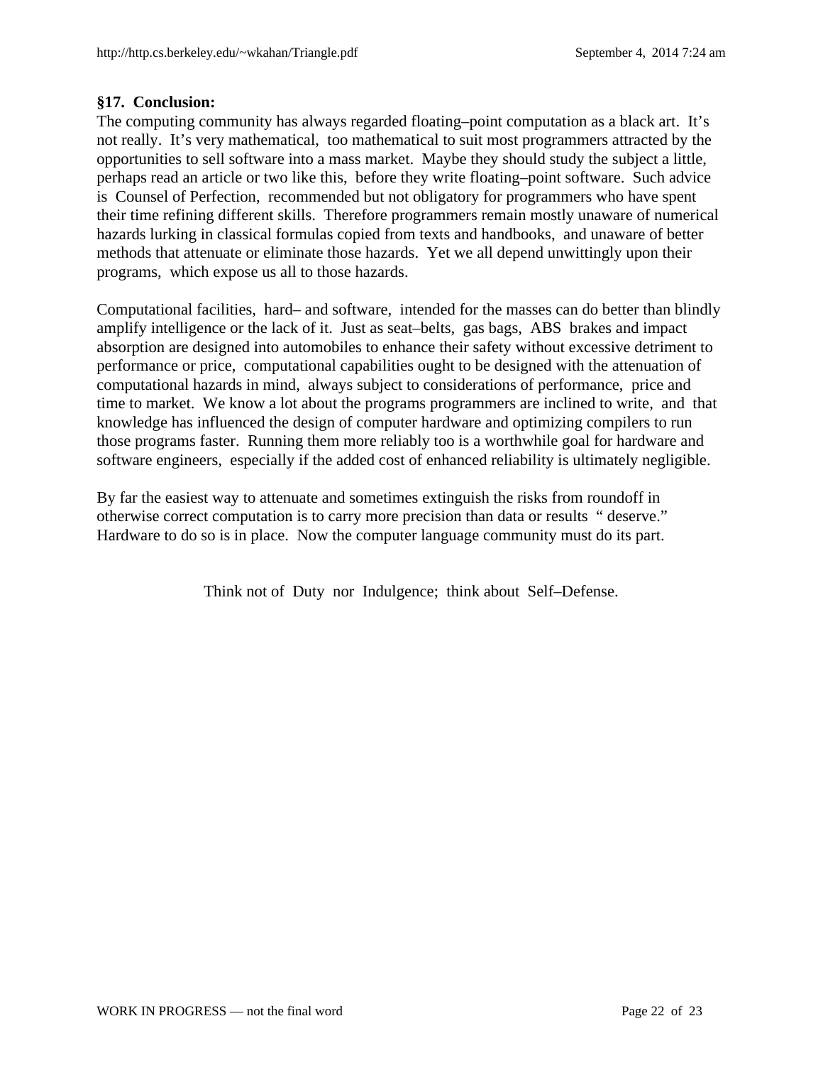## **§17. Conclusion:**

The computing community has always regarded floating–point computation as a black art. It's not really. It's very mathematical, too mathematical to suit most programmers attracted by the opportunities to sell software into a mass market. Maybe they should study the subject a little, perhaps read an article or two like this, before they write floating–point software. Such advice is Counsel of Perfection, recommended but not obligatory for programmers who have spent their time refining different skills. Therefore programmers remain mostly unaware of numerical hazards lurking in classical formulas copied from texts and handbooks, and unaware of better methods that attenuate or eliminate those hazards. Yet we all depend unwittingly upon their programs, which expose us all to those hazards.

Computational facilities, hard– and software, intended for the masses can do better than blindly amplify intelligence or the lack of it. Just as seat–belts, gas bags, ABS brakes and impact absorption are designed into automobiles to enhance their safety without excessive detriment to performance or price, computational capabilities ought to be designed with the attenuation of computational hazards in mind, always subject to considerations of performance, price and time to market. We know a lot about the programs programmers are inclined to write, and that knowledge has influenced the design of computer hardware and optimizing compilers to run those programs faster. Running them more reliably too is a worthwhile goal for hardware and software engineers, especially if the added cost of enhanced reliability is ultimately negligible.

By far the easiest way to attenuate and sometimes extinguish the risks from roundoff in otherwise correct computation is to carry more precision than data or results " deserve." Hardware to do so is in place. Now the computer language community must do its part.

Think not of Duty nor Indulgence; think about Self–Defense.